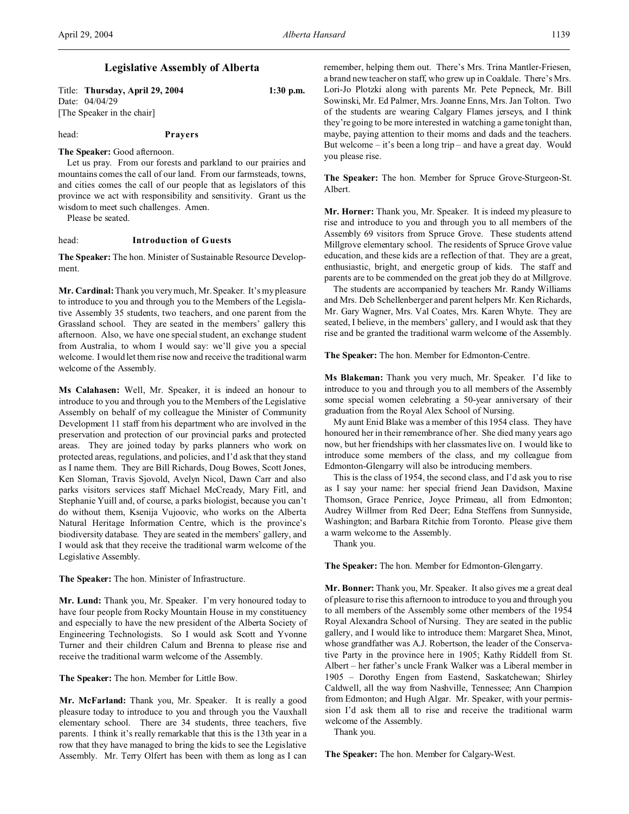# **Legislative Assembly of Alberta**

| Title: Thursday, April 29, 2004 | $1:30$ p.m. |
|---------------------------------|-------------|
| Date: 04/04/29                  |             |

[The Speaker in the chair]

head: **Prayers**

## **The Speaker:** Good afternoon.

Let us pray. From our forests and parkland to our prairies and mountains comes the call of our land. From our farmsteads, towns, and cities comes the call of our people that as legislators of this province we act with responsibility and sensitivity. Grant us the wisdom to meet such challenges. Amen.

Please be seated.

## head: **Introduction of Guests**

**The Speaker:** The hon. Minister of Sustainable Resource Development.

**Mr. Cardinal:** Thank you very much, Mr. Speaker. It's my pleasure to introduce to you and through you to the Members of the Legislative Assembly 35 students, two teachers, and one parent from the Grassland school. They are seated in the members' gallery this afternoon. Also, we have one special student, an exchange student from Australia, to whom I would say: we'll give you a special welcome. I would let them rise now and receive the traditional warm welcome of the Assembly.

**Ms Calahasen:** Well, Mr. Speaker, it is indeed an honour to introduce to you and through you to the Members of the Legislative Assembly on behalf of my colleague the Minister of Community Development 11 staff from his department who are involved in the preservation and protection of our provincial parks and protected areas. They are joined today by parks planners who work on protected areas, regulations, and policies, and I'd ask that they stand as I name them. They are Bill Richards, Doug Bowes, Scott Jones, Ken Sloman, Travis Sjovold, Avelyn Nicol, Dawn Carr and also parks visitors services staff Michael McCready, Mary Fitl, and Stephanie Yuill and, of course, a parks biologist, because you can't do without them, Ksenija Vujoovic, who works on the Alberta Natural Heritage Information Centre, which is the province's biodiversity database. They are seated in the members' gallery, and I would ask that they receive the traditional warm welcome of the Legislative Assembly.

**The Speaker:** The hon. Minister of Infrastructure.

**Mr. Lund:** Thank you, Mr. Speaker. I'm very honoured today to have four people from Rocky Mountain House in my constituency and especially to have the new president of the Alberta Society of Engineering Technologists. So I would ask Scott and Yvonne Turner and their children Calum and Brenna to please rise and receive the traditional warm welcome of the Assembly.

**The Speaker:** The hon. Member for Little Bow.

**Mr. McFarland:** Thank you, Mr. Speaker. It is really a good pleasure today to introduce to you and through you the Vauxhall elementary school. There are 34 students, three teachers, five parents. I think it's really remarkable that this is the 13th year in a row that they have managed to bring the kids to see the Legislative Assembly. Mr. Terry Olfert has been with them as long as I can

remember, helping them out. There's Mrs. Trina Mantler-Friesen, a brand new teacher on staff, who grew up in Coaldale. There's Mrs. Lori-Jo Plotzki along with parents Mr. Pete Pepneck, Mr. Bill Sowinski, Mr. Ed Palmer, Mrs. Joanne Enns, Mrs. Jan Tolton. Two of the students are wearing Calgary Flames jerseys, and I think they're going to be more interested in watching a game tonight than, maybe, paying attention to their moms and dads and the teachers. But welcome – it's been a long trip – and have a great day. Would you please rise.

**The Speaker:** The hon. Member for Spruce Grove-Sturgeon-St. Albert.

**Mr. Horner:** Thank you, Mr. Speaker. It is indeed my pleasure to rise and introduce to you and through you to all members of the Assembly 69 visitors from Spruce Grove. These students attend Millgrove elementary school. The residents of Spruce Grove value education, and these kids are a reflection of that. They are a great, enthusiastic, bright, and energetic group of kids. The staff and parents are to be commended on the great job they do at Millgrove.

The students are accompanied by teachers Mr. Randy Williams and Mrs. Deb Schellenberger and parent helpers Mr. Ken Richards, Mr. Gary Wagner, Mrs. Val Coates, Mrs. Karen Whyte. They are seated, I believe, in the members' gallery, and I would ask that they rise and be granted the traditional warm welcome of the Assembly.

## **The Speaker:** The hon. Member for Edmonton-Centre.

**Ms Blakeman:** Thank you very much, Mr. Speaker. I'd like to introduce to you and through you to all members of the Assembly some special women celebrating a 50-year anniversary of their graduation from the Royal Alex School of Nursing.

My aunt Enid Blake was a member of this 1954 class. They have honoured her in their remembrance of her. She died many years ago now, but her friendships with her classmates live on. I would like to introduce some members of the class, and my colleague from Edmonton-Glengarry will also be introducing members.

This is the class of 1954, the second class, and I'd ask you to rise as I say your name: her special friend Jean Davidson, Maxine Thomson, Grace Penrice, Joyce Primeau, all from Edmonton; Audrey Willmer from Red Deer; Edna Steffens from Sunnyside, Washington; and Barbara Ritchie from Toronto. Please give them a warm welcome to the Assembly.

Thank you.

**The Speaker:** The hon. Member for Edmonton-Glengarry.

**Mr. Bonner:** Thank you, Mr. Speaker. It also gives me a great deal of pleasure to rise this afternoon to introduce to you and through you to all members of the Assembly some other members of the 1954 Royal Alexandra School of Nursing. They are seated in the public gallery, and I would like to introduce them: Margaret Shea, Minot, whose grandfather was A.J. Robertson, the leader of the Conservative Party in the province here in 1905; Kathy Riddell from St. Albert – her father's uncle Frank Walker was a Liberal member in 1905 – Dorothy Engen from Eastend, Saskatchewan; Shirley Caldwell, all the way from Nashville, Tennessee; Ann Champion from Edmonton; and Hugh Algar. Mr. Speaker, with your permission I'd ask them all to rise and receive the traditional warm welcome of the Assembly.

Thank you.

**The Speaker:** The hon. Member for Calgary-West.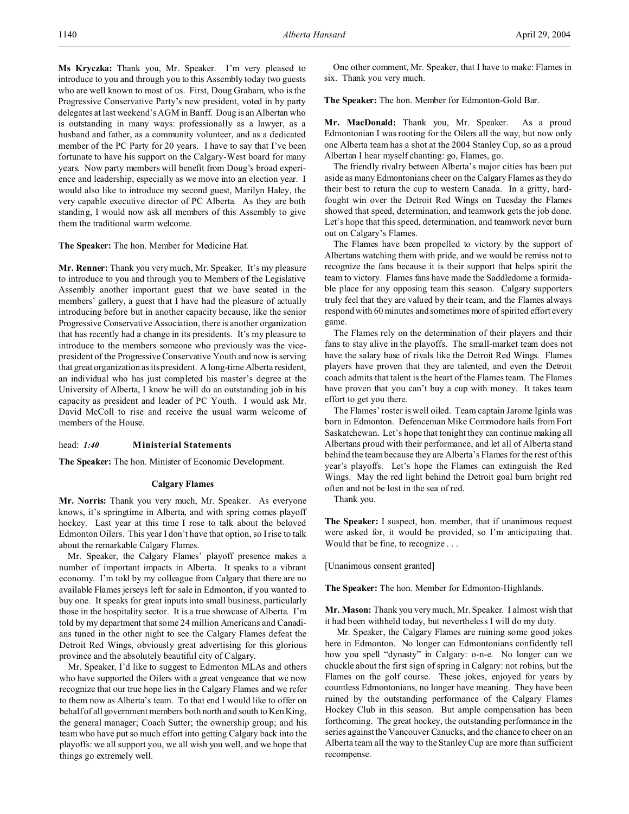**Ms Kryczka:** Thank you, Mr. Speaker. I'm very pleased to introduce to you and through you to this Assembly today two guests who are well known to most of us. First, Doug Graham, who is the Progressive Conservative Party's new president, voted in by party delegates at last weekend's AGM in Banff. Doug is an Albertan who is outstanding in many ways: professionally as a lawyer, as a husband and father, as a community volunteer, and as a dedicated member of the PC Party for 20 years. I have to say that I've been fortunate to have his support on the Calgary-West board for many years. Now party members will benefit from Doug's broad experience and leadership, especially as we move into an election year. I would also like to introduce my second guest, Marilyn Haley, the very capable executive director of PC Alberta. As they are both standing, I would now ask all members of this Assembly to give them the traditional warm welcome.

## **The Speaker:** The hon. Member for Medicine Hat.

**Mr. Renner:** Thank you very much, Mr. Speaker. It's my pleasure to introduce to you and through you to Members of the Legislative Assembly another important guest that we have seated in the members' gallery, a guest that I have had the pleasure of actually introducing before but in another capacity because, like the senior Progressive Conservative Association, there is another organization that has recently had a change in its presidents. It's my pleasure to introduce to the members someone who previously was the vicepresident of the Progressive Conservative Youth and now is serving that great organization as its president. A long-time Alberta resident, an individual who has just completed his master's degree at the University of Alberta, I know he will do an outstanding job in his capacity as president and leader of PC Youth. I would ask Mr. David McColl to rise and receive the usual warm welcome of members of the House.

# head: *1:40* **Ministerial Statements**

**The Speaker:** The hon. Minister of Economic Development.

# **Calgary Flames**

**Mr. Norris:** Thank you very much, Mr. Speaker. As everyone knows, it's springtime in Alberta, and with spring comes playoff hockey. Last year at this time I rose to talk about the beloved Edmonton Oilers. This year I don't have that option, so I rise to talk about the remarkable Calgary Flames.

Mr. Speaker, the Calgary Flames' playoff presence makes a number of important impacts in Alberta. It speaks to a vibrant economy. I'm told by my colleague from Calgary that there are no available Flames jerseys left for sale in Edmonton, if you wanted to buy one. It speaks for great inputs into small business, particularly those in the hospitality sector. It is a true showcase of Alberta. I'm told by my department that some 24 million Americans and Canadians tuned in the other night to see the Calgary Flames defeat the Detroit Red Wings, obviously great advertising for this glorious province and the absolutely beautiful city of Calgary.

Mr. Speaker, I'd like to suggest to Edmonton MLAs and others who have supported the Oilers with a great vengeance that we now recognize that our true hope lies in the Calgary Flames and we refer to them now as Alberta's team. To that end I would like to offer on behalf of all government members both north and south to Ken King, the general manager; Coach Sutter; the ownership group; and his team who have put so much effort into getting Calgary back into the playoffs: we all support you, we all wish you well, and we hope that things go extremely well.

One other comment, Mr. Speaker, that I have to make: Flames in six. Thank you very much.

**The Speaker:** The hon. Member for Edmonton-Gold Bar.

**Mr. MacDonald:** Thank you, Mr. Speaker. As a proud Edmontonian I was rooting for the Oilers all the way, but now only one Alberta team has a shot at the 2004 Stanley Cup, so as a proud Albertan I hear myself chanting: go, Flames, go.

The friendly rivalry between Alberta's major cities has been put aside as many Edmontonians cheer on the Calgary Flames as they do their best to return the cup to western Canada. In a gritty, hardfought win over the Detroit Red Wings on Tuesday the Flames showed that speed, determination, and teamwork gets the job done. Let's hope that this speed, determination, and teamwork never burn out on Calgary's Flames.

The Flames have been propelled to victory by the support of Albertans watching them with pride, and we would be remiss not to recognize the fans because it is their support that helps spirit the team to victory. Flames fans have made the Saddledome a formidable place for any opposing team this season. Calgary supporters truly feel that they are valued by their team, and the Flames always respond with 60 minutes and sometimes more of spirited effort every game.

The Flames rely on the determination of their players and their fans to stay alive in the playoffs. The small-market team does not have the salary base of rivals like the Detroit Red Wings. Flames players have proven that they are talented, and even the Detroit coach admits that talent is the heart of the Flames team. The Flames have proven that you can't buy a cup with money. It takes team effort to get you there.

The Flames' roster is well oiled. Team captain Jarome Iginla was born in Edmonton. Defenceman Mike Commodore hails from Fort Saskatchewan. Let's hope that tonight they can continue making all Albertans proud with their performance, and let all of Alberta stand behind the team because they are Alberta's Flames for the rest of this year's playoffs. Let's hope the Flames can extinguish the Red Wings. May the red light behind the Detroit goal burn bright red often and not be lost in the sea of red.

Thank you.

**The Speaker:** I suspect, hon. member, that if unanimous request were asked for, it would be provided, so I'm anticipating that. Would that be fine, to recognize . . .

[Unanimous consent granted]

**The Speaker:** The hon. Member for Edmonton-Highlands.

**Mr. Mason:** Thank you very much, Mr. Speaker. I almost wish that it had been withheld today, but nevertheless I will do my duty.

 Mr. Speaker, the Calgary Flames are ruining some good jokes here in Edmonton. No longer can Edmontonians confidently tell how you spell "dynasty" in Calgary: o-n-e. No longer can we chuckle about the first sign of spring in Calgary: not robins, but the Flames on the golf course. These jokes, enjoyed for years by countless Edmontonians, no longer have meaning. They have been ruined by the outstanding performance of the Calgary Flames Hockey Club in this season. But ample compensation has been forthcoming. The great hockey, the outstanding performance in the series against the Vancouver Canucks, and the chance to cheer on an Alberta team all the way to the Stanley Cup are more than sufficient recompense.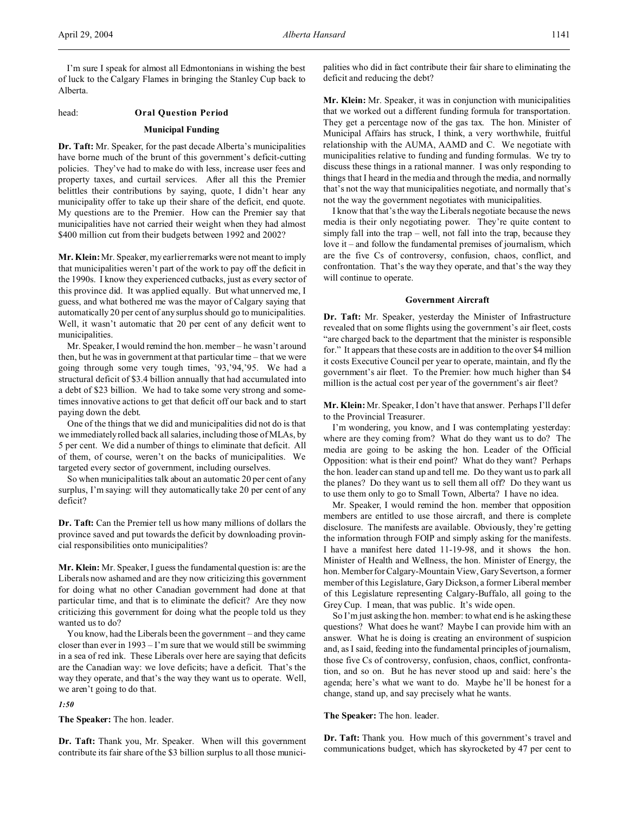I'm sure I speak for almost all Edmontonians in wishing the best of luck to the Calgary Flames in bringing the Stanley Cup back to Alberta.

## head: **Oral Question Period**

# **Municipal Funding**

**Dr. Taft:** Mr. Speaker, for the past decade Alberta's municipalities have borne much of the brunt of this government's deficit-cutting policies. They've had to make do with less, increase user fees and property taxes, and curtail services. After all this the Premier belittles their contributions by saying, quote, I didn't hear any municipality offer to take up their share of the deficit, end quote. My questions are to the Premier. How can the Premier say that municipalities have not carried their weight when they had almost \$400 million cut from their budgets between 1992 and 2002?

**Mr. Klein:** Mr. Speaker, my earlier remarks were not meant to imply that municipalities weren't part of the work to pay off the deficit in the 1990s. I know they experienced cutbacks, just as every sector of this province did. It was applied equally. But what unnerved me, I guess, and what bothered me was the mayor of Calgary saying that automatically 20 per cent of any surplus should go to municipalities. Well, it wasn't automatic that 20 per cent of any deficit went to municipalities.

Mr. Speaker, I would remind the hon. member – he wasn't around then, but he was in government at that particular time – that we were going through some very tough times, '93,'94,'95. We had a structural deficit of \$3.4 billion annually that had accumulated into a debt of \$23 billion. We had to take some very strong and sometimes innovative actions to get that deficit off our back and to start paying down the debt.

One of the things that we did and municipalities did not do is that we immediately rolled back all salaries, including those of MLAs, by 5 per cent. We did a number of things to eliminate that deficit. All of them, of course, weren't on the backs of municipalities. We targeted every sector of government, including ourselves.

So when municipalities talk about an automatic 20 per cent of any surplus, I'm saying: will they automatically take 20 per cent of any deficit?

**Dr. Taft:** Can the Premier tell us how many millions of dollars the province saved and put towards the deficit by downloading provincial responsibilities onto municipalities?

**Mr. Klein:** Mr. Speaker, I guess the fundamental question is: are the Liberals now ashamed and are they now criticizing this government for doing what no other Canadian government had done at that particular time, and that is to eliminate the deficit? Are they now criticizing this government for doing what the people told us they wanted us to do?

You know, had the Liberals been the government – and they came closer than ever in 1993 – I'm sure that we would still be swimming in a sea of red ink. These Liberals over here are saying that deficits are the Canadian way: we love deficits; have a deficit. That's the way they operate, and that's the way they want us to operate. Well, we aren't going to do that.

*1:50*

**The Speaker:** The hon. leader.

**Dr. Taft:** Thank you, Mr. Speaker. When will this government contribute its fair share of the \$3 billion surplus to all those municipalities who did in fact contribute their fair share to eliminating the deficit and reducing the debt?

**Mr. Klein:** Mr. Speaker, it was in conjunction with municipalities that we worked out a different funding formula for transportation. They get a percentage now of the gas tax. The hon. Minister of Municipal Affairs has struck, I think, a very worthwhile, fruitful relationship with the AUMA, AAMD and C. We negotiate with municipalities relative to funding and funding formulas. We try to discuss these things in a rational manner. I was only responding to things that I heard in the media and through the media, and normally that's not the way that municipalities negotiate, and normally that's not the way the government negotiates with municipalities.

I know that that's the way the Liberals negotiate because the news media is their only negotiating power. They're quite content to simply fall into the trap – well, not fall into the trap, because they love it – and follow the fundamental premises of journalism, which are the five Cs of controversy, confusion, chaos, conflict, and confrontation. That's the way they operate, and that's the way they will continue to operate.

## **Government Aircraft**

**Dr. Taft:** Mr. Speaker, yesterday the Minister of Infrastructure revealed that on some flights using the government's air fleet, costs "are charged back to the department that the minister is responsible for." It appears that these costs are in addition to the over \$4 million it costs Executive Council per year to operate, maintain, and fly the government's air fleet. To the Premier: how much higher than \$4 million is the actual cost per year of the government's air fleet?

**Mr. Klein:** Mr. Speaker, I don't have that answer. Perhaps I'll defer to the Provincial Treasurer.

I'm wondering, you know, and I was contemplating yesterday: where are they coming from? What do they want us to do? The media are going to be asking the hon. Leader of the Official Opposition: what is their end point? What do they want? Perhaps the hon. leader can stand up and tell me. Do they want us to park all the planes? Do they want us to sell them all off? Do they want us to use them only to go to Small Town, Alberta? I have no idea.

Mr. Speaker, I would remind the hon. member that opposition members are entitled to use those aircraft, and there is complete disclosure. The manifests are available. Obviously, they're getting the information through FOIP and simply asking for the manifests. I have a manifest here dated 11-19-98, and it shows the hon. Minister of Health and Wellness, the hon. Minister of Energy, the hon. Member for Calgary-Mountain View, Gary Severtson, a former member of this Legislature, Gary Dickson, a former Liberal member of this Legislature representing Calgary-Buffalo, all going to the Grey Cup. I mean, that was public. It's wide open.

So I'm just asking the hon. member: to what end is he asking these questions? What does he want? Maybe I can provide him with an answer. What he is doing is creating an environment of suspicion and, as I said, feeding into the fundamental principles of journalism, those five Cs of controversy, confusion, chaos, conflict, confrontation, and so on. But he has never stood up and said: here's the agenda; here's what we want to do. Maybe he'll be honest for a change, stand up, and say precisely what he wants.

## **The Speaker:** The hon. leader.

**Dr. Taft:** Thank you. How much of this government's travel and communications budget, which has skyrocketed by 47 per cent to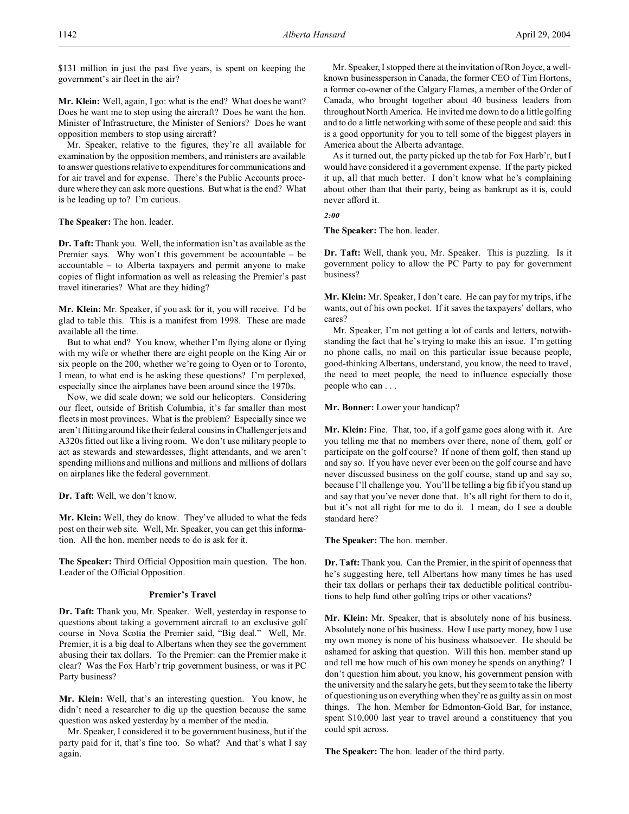\$131 million in just the past five years, is spent on keeping the government's air fleet in the air?

**Mr. Klein:** Well, again, I go: what is the end? What does he want? Does he want me to stop using the aircraft? Does he want the hon. Minister of Infrastructure, the Minister of Seniors? Does he want opposition members to stop using aircraft?

Mr. Speaker, relative to the figures, they're all available for examination by the opposition members, and ministers are available to answer questions relative to expenditures for communications and for air travel and for expense. There's the Public Accounts procedure where they can ask more questions. But what is the end? What is he leading up to? I'm curious.

**The Speaker:** The hon. leader.

**Dr. Taft:** Thank you. Well, the information isn't as available as the Premier says. Why won't this government be accountable – be accountable – to Alberta taxpayers and permit anyone to make copies of flight information as well as releasing the Premier's past travel itineraries? What are they hiding?

**Mr. Klein:** Mr. Speaker, if you ask for it, you will receive. I'd be glad to table this. This is a manifest from 1998. These are made available all the time.

But to what end? You know, whether I'm flying alone or flying with my wife or whether there are eight people on the King Air or six people on the 200, whether we're going to Oyen or to Toronto, I mean, to what end is he asking these questions? I'm perplexed, especially since the airplanes have been around since the 1970s.

Now, we did scale down; we sold our helicopters. Considering our fleet, outside of British Columbia, it's far smaller than most fleets in most provinces. What is the problem? Especially since we aren't flitting around like their federal cousins in Challenger jets and A320s fitted out like a living room. We don't use military people to act as stewards and stewardesses, flight attendants, and we aren't spending millions and millions and millions and millions of dollars on airplanes like the federal government.

**Dr. Taft:** Well, we don't know.

**Mr. Klein:** Well, they do know. They've alluded to what the feds post on their web site. Well, Mr. Speaker, you can get this information. All the hon. member needs to do is ask for it.

**The Speaker:** Third Official Opposition main question. The hon. Leader of the Official Opposition.

# **Premier's Travel**

**Dr. Taft:** Thank you, Mr. Speaker. Well, yesterday in response to questions about taking a government aircraft to an exclusive golf course in Nova Scotia the Premier said, "Big deal." Well, Mr. Premier, it is a big deal to Albertans when they see the government abusing their tax dollars. To the Premier: can the Premier make it clear? Was the Fox Harb'r trip government business, or was it PC Party business?

**Mr. Klein:** Well, that's an interesting question. You know, he didn't need a researcher to dig up the question because the same question was asked yesterday by a member of the media.

Mr. Speaker, I considered it to be government business, but if the party paid for it, that's fine too. So what? And that's what I say again.

Mr. Speaker, I stopped there at the invitation of Ron Joyce, a wellknown businessperson in Canada, the former CEO of Tim Hortons, a former co-owner of the Calgary Flames, a member of the Order of Canada, who brought together about 40 business leaders from throughout North America. He invited me down to do a little golfing and to do a little networking with some of these people and said: this is a good opportunity for you to tell some of the biggest players in America about the Alberta advantage.

As it turned out, the party picked up the tab for Fox Harb'r, but I would have considered it a government expense. If the party picked it up, all that much better. I don't know what he's complaining about other than that their party, being as bankrupt as it is, could never afford it.

*2:00*

**The Speaker:** The hon. leader.

**Dr. Taft:** Well, thank you, Mr. Speaker. This is puzzling. Is it government policy to allow the PC Party to pay for government business?

**Mr. Klein:** Mr. Speaker, I don't care. He can pay for my trips, if he wants, out of his own pocket. If it saves the taxpayers' dollars, who cares?

Mr. Speaker, I'm not getting a lot of cards and letters, notwithstanding the fact that he's trying to make this an issue. I'm getting no phone calls, no mail on this particular issue because people, good-thinking Albertans, understand, you know, the need to travel, the need to meet people, the need to influence especially those people who can . . .

**Mr. Bonner:** Lower your handicap?

**Mr. Klein:** Fine. That, too, if a golf game goes along with it. Are you telling me that no members over there, none of them, golf or participate on the golf course? If none of them golf, then stand up and say so. If you have never ever been on the golf course and have never discussed business on the golf course, stand up and say so, because I'll challenge you. You'll be telling a big fib if you stand up and say that you've never done that. It's all right for them to do it, but it's not all right for me to do it. I mean, do I see a double standard here?

**The Speaker:** The hon. member.

**Dr. Taft:** Thank you. Can the Premier, in the spirit of openness that he's suggesting here, tell Albertans how many times he has used their tax dollars or perhaps their tax deductible political contributions to help fund other golfing trips or other vacations?

**Mr. Klein:** Mr. Speaker, that is absolutely none of his business. Absolutely none of his business. How I use party money, how I use my own money is none of his business whatsoever. He should be ashamed for asking that question. Will this hon. member stand up and tell me how much of his own money he spends on anything? I don't question him about, you know, his government pension with the university and the salary he gets, but they seem to take the liberty of questioning us on everything when they're as guilty as sin on most things. The hon. Member for Edmonton-Gold Bar, for instance, spent \$10,000 last year to travel around a constituency that you could spit across.

**The Speaker:** The hon. leader of the third party.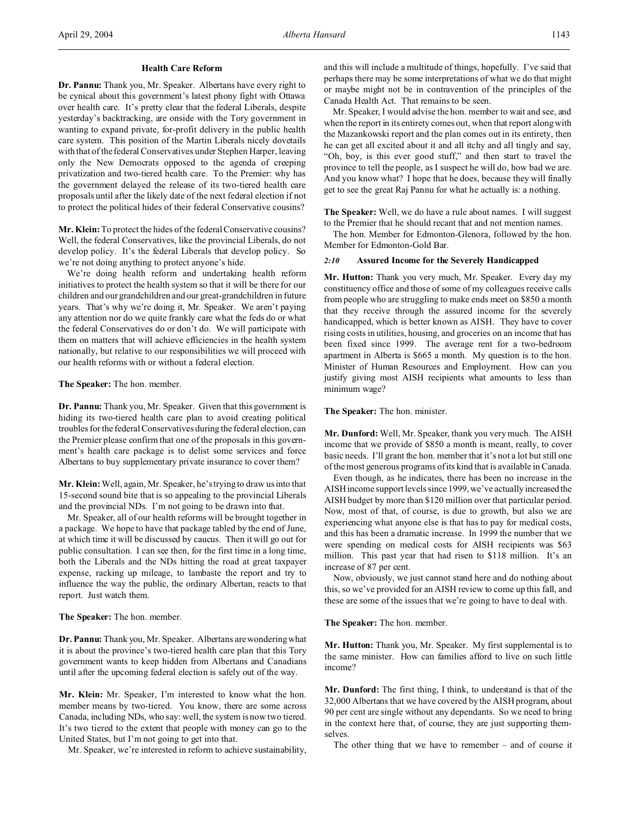# **Health Care Reform**

**Dr. Pannu:** Thank you, Mr. Speaker. Albertans have every right to be cynical about this government's latest phony fight with Ottawa over health care. It's pretty clear that the federal Liberals, despite yesterday's backtracking, are onside with the Tory government in wanting to expand private, for-profit delivery in the public health care system. This position of the Martin Liberals nicely dovetails with that of the federal Conservatives under Stephen Harper, leaving only the New Democrats opposed to the agenda of creeping privatization and two-tiered health care. To the Premier: why has the government delayed the release of its two-tiered health care proposals until after the likely date of the next federal election if not to protect the political hides of their federal Conservative cousins?

**Mr. Klein:** To protect the hides of the federal Conservative cousins? Well, the federal Conservatives, like the provincial Liberals, do not develop policy. It's the federal Liberals that develop policy. So we're not doing anything to protect anyone's hide.

We're doing health reform and undertaking health reform initiatives to protect the health system so that it will be there for our children and our grandchildren and our great-grandchildren in future years. That's why we're doing it, Mr. Speaker. We aren't paying any attention nor do we quite frankly care what the feds do or what the federal Conservatives do or don't do. We will participate with them on matters that will achieve efficiencies in the health system nationally, but relative to our responsibilities we will proceed with our health reforms with or without a federal election.

**The Speaker:** The hon. member.

**Dr. Pannu:** Thank you, Mr. Speaker. Given that this government is hiding its two-tiered health care plan to avoid creating political troubles for the federal Conservatives during the federal election, can the Premier please confirm that one of the proposals in this government's health care package is to delist some services and force Albertans to buy supplementary private insurance to cover them?

**Mr. Klein:** Well, again, Mr. Speaker, he's trying to draw us into that 15-second sound bite that is so appealing to the provincial Liberals and the provincial NDs. I'm not going to be drawn into that.

Mr. Speaker, all of our health reforms will be brought together in a package. We hope to have that package tabled by the end of June, at which time it will be discussed by caucus. Then it will go out for public consultation. I can see then, for the first time in a long time, both the Liberals and the NDs hitting the road at great taxpayer expense, racking up mileage, to lambaste the report and try to influence the way the public, the ordinary Albertan, reacts to that report. Just watch them.

**The Speaker:** The hon. member.

**Dr. Pannu:** Thank you, Mr. Speaker. Albertans are wondering what it is about the province's two-tiered health care plan that this Tory government wants to keep hidden from Albertans and Canadians until after the upcoming federal election is safely out of the way.

**Mr. Klein:** Mr. Speaker, I'm interested to know what the hon. member means by two-tiered. You know, there are some across Canada, including NDs, who say: well, the system is now two tiered. It's two tiered to the extent that people with money can go to the United States, but I'm not going to get into that.

Mr. Speaker, we're interested in reform to achieve sustainability,

and this will include a multitude of things, hopefully. I've said that perhaps there may be some interpretations of what we do that might or maybe might not be in contravention of the principles of the Canada Health Act. That remains to be seen.

Mr. Speaker, I would advise the hon. member to wait and see, and when the report in its entirety comes out, when that report along with the Mazankowski report and the plan comes out in its entirety, then he can get all excited about it and all itchy and all tingly and say, "Oh, boy, is this ever good stuff," and then start to travel the province to tell the people, as I suspect he will do, how bad we are. And you know what? I hope that he does, because they will finally get to see the great Raj Pannu for what he actually is: a nothing.

**The Speaker:** Well, we do have a rule about names. I will suggest to the Premier that he should recant that and not mention names.

The hon. Member for Edmonton-Glenora, followed by the hon. Member for Edmonton-Gold Bar.

# *2:10* **Assured Income for the Severely Handicapped**

**Mr. Hutton:** Thank you very much, Mr. Speaker. Every day my constituency office and those of some of my colleagues receive calls from people who are struggling to make ends meet on \$850 a month that they receive through the assured income for the severely handicapped, which is better known as AISH. They have to cover rising costs in utilities, housing, and groceries on an income that has been fixed since 1999. The average rent for a two-bedroom apartment in Alberta is \$665 a month. My question is to the hon. Minister of Human Resources and Employment. How can you justify giving most AISH recipients what amounts to less than minimum wage?

**The Speaker:** The hon. minister.

**Mr. Dunford:** Well, Mr. Speaker, thank you very much. The AISH income that we provide of \$850 a month is meant, really, to cover basic needs. I'll grant the hon. member that it's not a lot but still one of the most generous programs of its kind that is available in Canada.

Even though, as he indicates, there has been no increase in the AISH income support levels since 1999, we've actually increased the AISH budget by more than \$120 million over that particular period. Now, most of that, of course, is due to growth, but also we are experiencing what anyone else is that has to pay for medical costs, and this has been a dramatic increase. In 1999 the number that we were spending on medical costs for AISH recipients was \$63 million. This past year that had risen to \$118 million. It's an increase of 87 per cent.

Now, obviously, we just cannot stand here and do nothing about this, so we've provided for an AISH review to come up this fall, and these are some of the issues that we're going to have to deal with.

**The Speaker:** The hon. member.

**Mr. Hutton:** Thank you, Mr. Speaker. My first supplemental is to the same minister. How can families afford to live on such little income?

**Mr. Dunford:** The first thing, I think, to understand is that of the 32,000 Albertans that we have covered by the AISH program, about 90 per cent are single without any dependants. So we need to bring in the context here that, of course, they are just supporting themselves.

The other thing that we have to remember – and of course it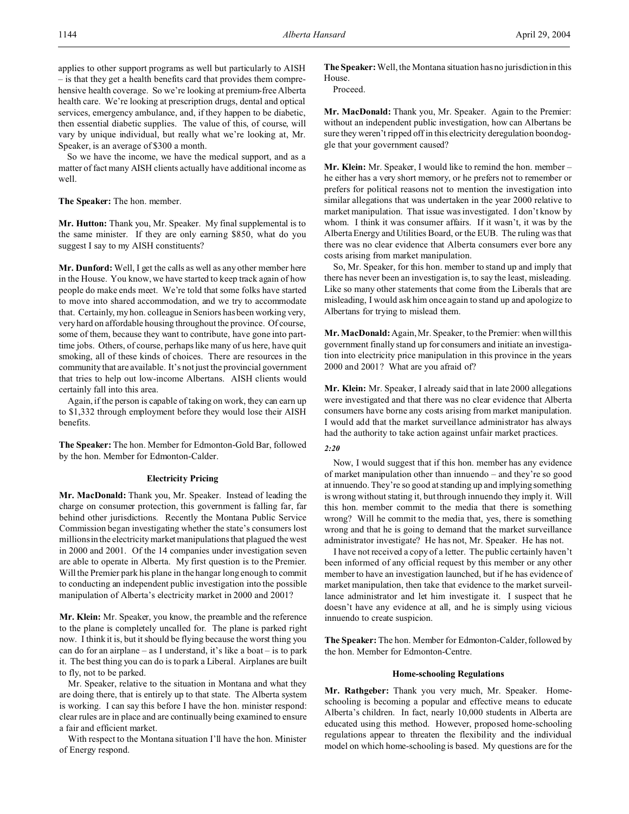applies to other support programs as well but particularly to AISH – is that they get a health benefits card that provides them comprehensive health coverage. So we're looking at premium-free Alberta health care. We're looking at prescription drugs, dental and optical services, emergency ambulance, and, if they happen to be diabetic, then essential diabetic supplies. The value of this, of course, will vary by unique individual, but really what we're looking at, Mr. Speaker, is an average of \$300 a month.

So we have the income, we have the medical support, and as a matter of fact many AISH clients actually have additional income as well.

# **The Speaker:** The hon. member.

**Mr. Hutton:** Thank you, Mr. Speaker. My final supplemental is to the same minister. If they are only earning \$850, what do you suggest I say to my AISH constituents?

**Mr. Dunford:** Well, I get the calls as well as any other member here in the House. You know, we have started to keep track again of how people do make ends meet. We're told that some folks have started to move into shared accommodation, and we try to accommodate that. Certainly, my hon. colleague in Seniors has been working very, very hard on affordable housing throughout the province. Of course, some of them, because they want to contribute, have gone into parttime jobs. Others, of course, perhaps like many of us here, have quit smoking, all of these kinds of choices. There are resources in the community that are available. It's not just the provincial government that tries to help out low-income Albertans. AISH clients would certainly fall into this area.

Again, if the person is capable of taking on work, they can earn up to \$1,332 through employment before they would lose their AISH benefits.

**The Speaker:** The hon. Member for Edmonton-Gold Bar, followed by the hon. Member for Edmonton-Calder.

#### **Electricity Pricing**

**Mr. MacDonald:** Thank you, Mr. Speaker. Instead of leading the charge on consumer protection, this government is falling far, far behind other jurisdictions. Recently the Montana Public Service Commission began investigating whether the state's consumers lost millions in the electricity market manipulations that plagued the west in 2000 and 2001. Of the 14 companies under investigation seven are able to operate in Alberta. My first question is to the Premier. Will the Premier park his plane in the hangar long enough to commit to conducting an independent public investigation into the possible manipulation of Alberta's electricity market in 2000 and 2001?

**Mr. Klein:** Mr. Speaker, you know, the preamble and the reference to the plane is completely uncalled for. The plane is parked right now. I think it is, but it should be flying because the worst thing you can do for an airplane – as I understand, it's like a boat – is to park it. The best thing you can do is to park a Liberal. Airplanes are built to fly, not to be parked.

Mr. Speaker, relative to the situation in Montana and what they are doing there, that is entirely up to that state. The Alberta system is working. I can say this before I have the hon. minister respond: clear rules are in place and are continually being examined to ensure a fair and efficient market.

With respect to the Montana situation I'll have the hon. Minister of Energy respond.

**The Speaker:** Well, the Montana situation has no jurisdiction in this House.

Proceed.

**Mr. MacDonald:** Thank you, Mr. Speaker. Again to the Premier: without an independent public investigation, how can Albertans be sure they weren't ripped off in this electricity deregulation boondoggle that your government caused?

**Mr. Klein:** Mr. Speaker, I would like to remind the hon. member – he either has a very short memory, or he prefers not to remember or prefers for political reasons not to mention the investigation into similar allegations that was undertaken in the year 2000 relative to market manipulation. That issue was investigated. I don't know by whom. I think it was consumer affairs. If it wasn't, it was by the Alberta Energy and Utilities Board, or the EUB. The ruling was that there was no clear evidence that Alberta consumers ever bore any costs arising from market manipulation.

So, Mr. Speaker, for this hon. member to stand up and imply that there has never been an investigation is, to say the least, misleading. Like so many other statements that come from the Liberals that are misleading, I would ask him once again to stand up and apologize to Albertans for trying to mislead them.

**Mr. MacDonald:** Again, Mr. Speaker, to the Premier: when will this government finally stand up for consumers and initiate an investigation into electricity price manipulation in this province in the years 2000 and 2001? What are you afraid of?

**Mr. Klein:** Mr. Speaker, I already said that in late 2000 allegations were investigated and that there was no clear evidence that Alberta consumers have borne any costs arising from market manipulation. I would add that the market surveillance administrator has always had the authority to take action against unfair market practices.

#### *2:20*

Now, I would suggest that if this hon. member has any evidence of market manipulation other than innuendo – and they're so good at innuendo. They're so good at standing up and implying something is wrong without stating it, but through innuendo they imply it. Will this hon. member commit to the media that there is something wrong? Will he commit to the media that, yes, there is something wrong and that he is going to demand that the market surveillance administrator investigate? He has not, Mr. Speaker. He has not.

I have not received a copy of a letter. The public certainly haven't been informed of any official request by this member or any other member to have an investigation launched, but if he has evidence of market manipulation, then take that evidence to the market surveillance administrator and let him investigate it. I suspect that he doesn't have any evidence at all, and he is simply using vicious innuendo to create suspicion.

**The Speaker:** The hon. Member for Edmonton-Calder, followed by the hon. Member for Edmonton-Centre.

## **Home-schooling Regulations**

**Mr. Rathgeber:** Thank you very much, Mr. Speaker. Homeschooling is becoming a popular and effective means to educate Alberta's children. In fact, nearly 10,000 students in Alberta are educated using this method. However, proposed home-schooling regulations appear to threaten the flexibility and the individual model on which home-schooling is based. My questions are for the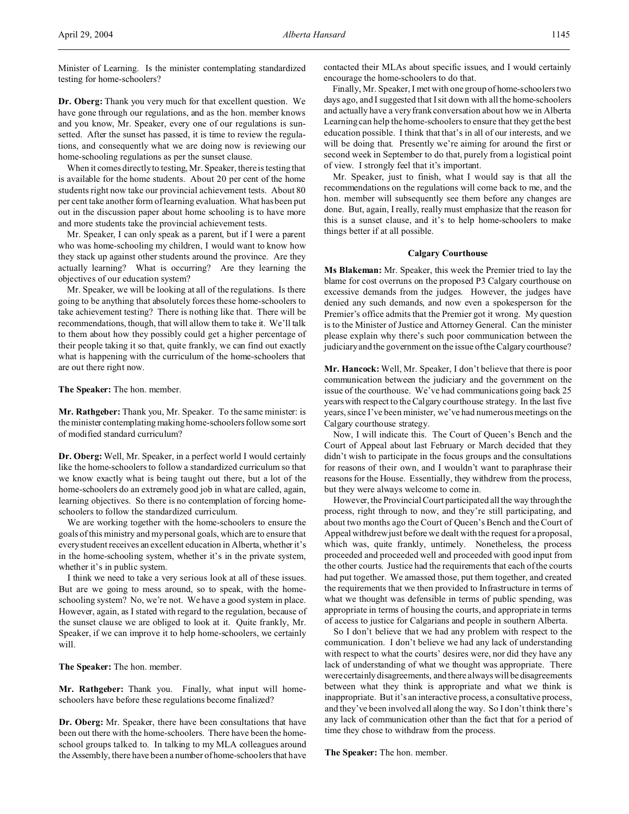Minister of Learning. Is the minister contemplating standardized testing for home-schoolers?

**Dr. Oberg:** Thank you very much for that excellent question. We have gone through our regulations, and as the hon. member knows and you know, Mr. Speaker, every one of our regulations is sunsetted. After the sunset has passed, it is time to review the regulations, and consequently what we are doing now is reviewing our home-schooling regulations as per the sunset clause.

When it comes directly to testing, Mr. Speaker, there is testing that is available for the home students. About 20 per cent of the home students right now take our provincial achievement tests. About 80 per cent take another form of learning evaluation. What has been put out in the discussion paper about home schooling is to have more and more students take the provincial achievement tests.

Mr. Speaker, I can only speak as a parent, but if I were a parent who was home-schooling my children, I would want to know how they stack up against other students around the province. Are they actually learning? What is occurring? Are they learning the objectives of our education system?

Mr. Speaker, we will be looking at all of the regulations. Is there going to be anything that absolutely forces these home-schoolers to take achievement testing? There is nothing like that. There will be recommendations, though, that will allow them to take it. We'll talk to them about how they possibly could get a higher percentage of their people taking it so that, quite frankly, we can find out exactly what is happening with the curriculum of the home-schoolers that are out there right now.

**The Speaker:** The hon. member.

**Mr. Rathgeber:** Thank you, Mr. Speaker. To the same minister: is the minister contemplating making home-schoolers follow some sort of modified standard curriculum?

**Dr. Oberg:** Well, Mr. Speaker, in a perfect world I would certainly like the home-schoolers to follow a standardized curriculum so that we know exactly what is being taught out there, but a lot of the home-schoolers do an extremely good job in what are called, again, learning objectives. So there is no contemplation of forcing homeschoolers to follow the standardized curriculum.

We are working together with the home-schoolers to ensure the goals of this ministry and my personal goals, which are to ensure that every student receives an excellent education in Alberta, whether it's in the home-schooling system, whether it's in the private system, whether it's in public system.

I think we need to take a very serious look at all of these issues. But are we going to mess around, so to speak, with the homeschooling system? No, we're not. We have a good system in place. However, again, as I stated with regard to the regulation, because of the sunset clause we are obliged to look at it. Quite frankly, Mr. Speaker, if we can improve it to help home-schoolers, we certainly will.

**The Speaker:** The hon. member.

**Mr. Rathgeber:** Thank you. Finally, what input will homeschoolers have before these regulations become finalized?

**Dr. Oberg:** Mr. Speaker, there have been consultations that have been out there with the home-schoolers. There have been the homeschool groups talked to. In talking to my MLA colleagues around the Assembly, there have been a number of home-schoolers that have contacted their MLAs about specific issues, and I would certainly encourage the home-schoolers to do that.

Finally, Mr. Speaker, I met with one group of home-schoolers two days ago, and I suggested that I sit down with all the home-schoolers and actually have a very frank conversation about how we in Alberta Learning can help the home-schoolers to ensure that they get the best education possible. I think that that's in all of our interests, and we will be doing that. Presently we're aiming for around the first or second week in September to do that, purely from a logistical point of view. I strongly feel that it's important.

Mr. Speaker, just to finish, what I would say is that all the recommendations on the regulations will come back to me, and the hon. member will subsequently see them before any changes are done. But, again, I really, really must emphasize that the reason for this is a sunset clause, and it's to help home-schoolers to make things better if at all possible.

# **Calgary Courthouse**

**Ms Blakeman:** Mr. Speaker, this week the Premier tried to lay the blame for cost overruns on the proposed P3 Calgary courthouse on excessive demands from the judges. However, the judges have denied any such demands, and now even a spokesperson for the Premier's office admits that the Premier got it wrong. My question is to the Minister of Justice and Attorney General. Can the minister please explain why there's such poor communication between the judiciary and the government on the issue of the Calgary courthouse?

**Mr. Hancock:** Well, Mr. Speaker, I don't believe that there is poor communication between the judiciary and the government on the issue of the courthouse. We've had communications going back 25 years with respect to the Calgary courthouse strategy. In the last five years, since I've been minister, we've had numerous meetings on the Calgary courthouse strategy.

Now, I will indicate this. The Court of Queen's Bench and the Court of Appeal about last February or March decided that they didn't wish to participate in the focus groups and the consultations for reasons of their own, and I wouldn't want to paraphrase their reasons for the House. Essentially, they withdrew from the process, but they were always welcome to come in.

However, the Provincial Court participated all the way through the process, right through to now, and they're still participating, and about two months ago the Court of Queen's Bench and the Court of Appeal withdrew just before we dealt with the request for a proposal, which was, quite frankly, untimely. Nonetheless, the process proceeded and proceeded well and proceeded with good input from the other courts. Justice had the requirements that each of the courts had put together. We amassed those, put them together, and created the requirements that we then provided to Infrastructure in terms of what we thought was defensible in terms of public spending, was appropriate in terms of housing the courts, and appropriate in terms of access to justice for Calgarians and people in southern Alberta.

So I don't believe that we had any problem with respect to the communication. I don't believe we had any lack of understanding with respect to what the courts' desires were, nor did they have any lack of understanding of what we thought was appropriate. There were certainly disagreements, and there always will be disagreements between what they think is appropriate and what we think is inappropriate. But it's an interactive process, a consultative process, and they've been involved all along the way. So I don't think there's any lack of communication other than the fact that for a period of time they chose to withdraw from the process.

## **The Speaker:** The hon. member.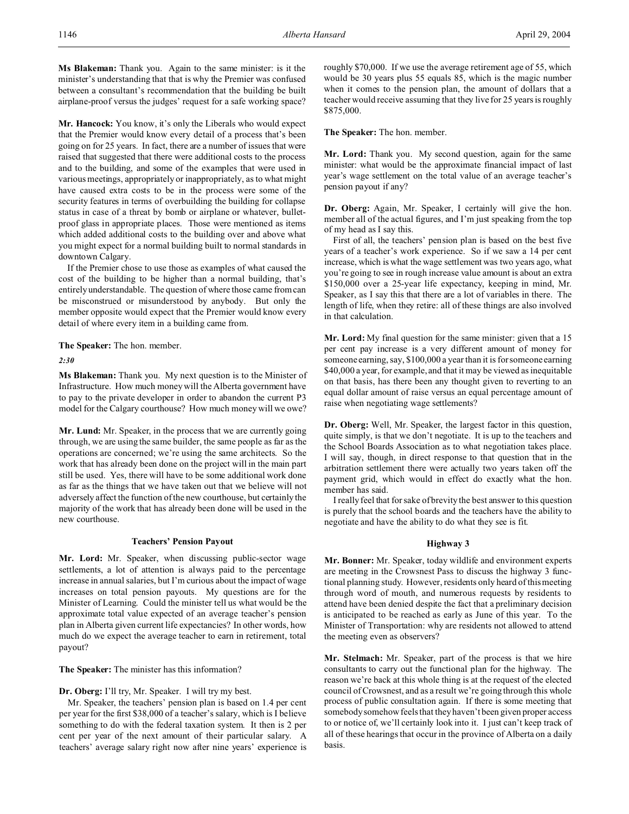**Ms Blakeman:** Thank you. Again to the same minister: is it the minister's understanding that that is why the Premier was confused between a consultant's recommendation that the building be built airplane-proof versus the judges' request for a safe working space?

**Mr. Hancock:** You know, it's only the Liberals who would expect that the Premier would know every detail of a process that's been going on for 25 years. In fact, there are a number of issues that were raised that suggested that there were additional costs to the process and to the building, and some of the examples that were used in various meetings, appropriately or inappropriately, as to what might have caused extra costs to be in the process were some of the security features in terms of overbuilding the building for collapse status in case of a threat by bomb or airplane or whatever, bulletproof glass in appropriate places. Those were mentioned as items which added additional costs to the building over and above what you might expect for a normal building built to normal standards in downtown Calgary.

If the Premier chose to use those as examples of what caused the cost of the building to be higher than a normal building, that's entirely understandable. The question of where those came from can be misconstrued or misunderstood by anybody. But only the member opposite would expect that the Premier would know every detail of where every item in a building came from.

**The Speaker:** The hon. member.

*2:30*

**Ms Blakeman:** Thank you. My next question is to the Minister of Infrastructure. How much money will the Alberta government have to pay to the private developer in order to abandon the current P3 model for the Calgary courthouse? How much money will we owe?

**Mr. Lund:** Mr. Speaker, in the process that we are currently going through, we are using the same builder, the same people as far as the operations are concerned; we're using the same architects. So the work that has already been done on the project will in the main part still be used. Yes, there will have to be some additional work done as far as the things that we have taken out that we believe will not adversely affect the function of the new courthouse, but certainly the majority of the work that has already been done will be used in the new courthouse.

# **Teachers' Pension Payout**

**Mr. Lord:** Mr. Speaker, when discussing public-sector wage settlements, a lot of attention is always paid to the percentage increase in annual salaries, but I'm curious about the impact of wage increases on total pension payouts. My questions are for the Minister of Learning. Could the minister tell us what would be the approximate total value expected of an average teacher's pension plan in Alberta given current life expectancies? In other words, how much do we expect the average teacher to earn in retirement, total payout?

**The Speaker:** The minister has this information?

**Dr. Oberg:** I'll try, Mr. Speaker. I will try my best.

Mr. Speaker, the teachers' pension plan is based on 1.4 per cent per year for the first \$38,000 of a teacher's salary, which is I believe something to do with the federal taxation system. It then is 2 per cent per year of the next amount of their particular salary. A teachers' average salary right now after nine years' experience is roughly \$70,000. If we use the average retirement age of 55, which would be 30 years plus 55 equals 85, which is the magic number when it comes to the pension plan, the amount of dollars that a teacher would receive assuming that they live for 25 years is roughly \$875,000.

**The Speaker:** The hon. member.

**Mr. Lord:** Thank you. My second question, again for the same minister: what would be the approximate financial impact of last year's wage settlement on the total value of an average teacher's pension payout if any?

**Dr. Oberg:** Again, Mr. Speaker, I certainly will give the hon. member all of the actual figures, and I'm just speaking from the top of my head as I say this.

First of all, the teachers' pension plan is based on the best five years of a teacher's work experience. So if we saw a 14 per cent increase, which is what the wage settlement was two years ago, what you're going to see in rough increase value amount is about an extra \$150,000 over a 25-year life expectancy, keeping in mind, Mr. Speaker, as I say this that there are a lot of variables in there. The length of life, when they retire: all of these things are also involved in that calculation.

**Mr. Lord:** My final question for the same minister: given that a 15 per cent pay increase is a very different amount of money for someone earning, say, \$100,000 a year than it is for someone earning \$40,000 a year, for example, and that it may be viewed as inequitable on that basis, has there been any thought given to reverting to an equal dollar amount of raise versus an equal percentage amount of raise when negotiating wage settlements?

**Dr. Oberg:** Well, Mr. Speaker, the largest factor in this question, quite simply, is that we don't negotiate. It is up to the teachers and the School Boards Association as to what negotiation takes place. I will say, though, in direct response to that question that in the arbitration settlement there were actually two years taken off the payment grid, which would in effect do exactly what the hon. member has said.

I really feel that for sake of brevity the best answer to this question is purely that the school boards and the teachers have the ability to negotiate and have the ability to do what they see is fit.

# **Highway 3**

**Mr. Bonner:** Mr. Speaker, today wildlife and environment experts are meeting in the Crowsnest Pass to discuss the highway 3 functional planning study. However, residents only heard of this meeting through word of mouth, and numerous requests by residents to attend have been denied despite the fact that a preliminary decision is anticipated to be reached as early as June of this year. To the Minister of Transportation: why are residents not allowed to attend the meeting even as observers?

**Mr. Stelmach:** Mr. Speaker, part of the process is that we hire consultants to carry out the functional plan for the highway. The reason we're back at this whole thing is at the request of the elected council of Crowsnest, and as a result we're going through this whole process of public consultation again. If there is some meeting that somebody somehow feels that they haven't been given proper access to or notice of, we'll certainly look into it. I just can't keep track of all of these hearings that occur in the province of Alberta on a daily basis.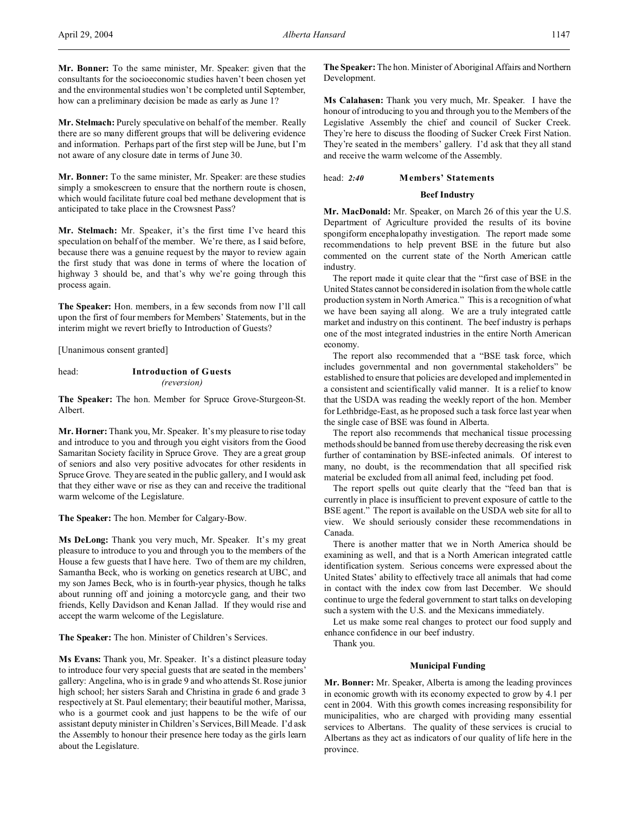**Mr. Stelmach:** Purely speculative on behalf of the member. Really there are so many different groups that will be delivering evidence and information. Perhaps part of the first step will be June, but I'm not aware of any closure date in terms of June 30.

**Mr. Bonner:** To the same minister, Mr. Speaker: are these studies simply a smokescreen to ensure that the northern route is chosen, which would facilitate future coal bed methane development that is anticipated to take place in the Crowsnest Pass?

**Mr. Stelmach:** Mr. Speaker, it's the first time I've heard this speculation on behalf of the member. We're there, as I said before, because there was a genuine request by the mayor to review again the first study that was done in terms of where the location of highway 3 should be, and that's why we're going through this process again.

**The Speaker:** Hon. members, in a few seconds from now I'll call upon the first of four members for Members' Statements, but in the interim might we revert briefly to Introduction of Guests?

[Unanimous consent granted]

head: **Introduction of Guests** *(reversion)*

**The Speaker:** The hon. Member for Spruce Grove-Sturgeon-St. Albert.

**Mr. Horner:** Thank you, Mr. Speaker. It's my pleasure to rise today and introduce to you and through you eight visitors from the Good Samaritan Society facility in Spruce Grove. They are a great group of seniors and also very positive advocates for other residents in Spruce Grove. They are seated in the public gallery, and I would ask that they either wave or rise as they can and receive the traditional warm welcome of the Legislature.

**The Speaker:** The hon. Member for Calgary-Bow.

**Ms DeLong:** Thank you very much, Mr. Speaker. It's my great pleasure to introduce to you and through you to the members of the House a few guests that I have here. Two of them are my children, Samantha Beck, who is working on genetics research at UBC, and my son James Beck, who is in fourth-year physics, though he talks about running off and joining a motorcycle gang, and their two friends, Kelly Davidson and Kenan Jallad. If they would rise and accept the warm welcome of the Legislature.

**The Speaker:** The hon. Minister of Children's Services.

**Ms Evans:** Thank you, Mr. Speaker. It's a distinct pleasure today to introduce four very special guests that are seated in the members' gallery: Angelina, who is in grade 9 and who attends St. Rose junior high school; her sisters Sarah and Christina in grade 6 and grade 3 respectively at St. Paul elementary; their beautiful mother, Marissa, who is a gourmet cook and just happens to be the wife of our assistant deputy minister in Children's Services, Bill Meade. I'd ask the Assembly to honour their presence here today as the girls learn about the Legislature.

**The Speaker:** The hon. Minister of Aboriginal Affairs and Northern Development.

**Ms Calahasen:** Thank you very much, Mr. Speaker. I have the honour of introducing to you and through you to the Members of the Legislative Assembly the chief and council of Sucker Creek. They're here to discuss the flooding of Sucker Creek First Nation. They're seated in the members' gallery. I'd ask that they all stand and receive the warm welcome of the Assembly.

head: *2:40* **Members' Statements**

## **Beef Industry**

**Mr. MacDonald:** Mr. Speaker, on March 26 of this year the U.S. Department of Agriculture provided the results of its bovine spongiform encephalopathy investigation. The report made some recommendations to help prevent BSE in the future but also commented on the current state of the North American cattle industry.

The report made it quite clear that the "first case of BSE in the United States cannot be considered in isolation from the whole cattle production system in North America." This is a recognition of what we have been saying all along. We are a truly integrated cattle market and industry on this continent. The beef industry is perhaps one of the most integrated industries in the entire North American economy.

The report also recommended that a "BSE task force, which includes governmental and non governmental stakeholders" be established to ensure that policies are developed and implemented in a consistent and scientifically valid manner. It is a relief to know that the USDA was reading the weekly report of the hon. Member for Lethbridge-East, as he proposed such a task force last year when the single case of BSE was found in Alberta.

The report also recommends that mechanical tissue processing methods should be banned from use thereby decreasing the risk even further of contamination by BSE-infected animals. Of interest to many, no doubt, is the recommendation that all specified risk material be excluded from all animal feed, including pet food.

The report spells out quite clearly that the "feed ban that is currently in place is insufficient to prevent exposure of cattle to the BSE agent." The report is available on the USDA web site for all to view. We should seriously consider these recommendations in Canada.

There is another matter that we in North America should be examining as well, and that is a North American integrated cattle identification system. Serious concerns were expressed about the United States' ability to effectively trace all animals that had come in contact with the index cow from last December. We should continue to urge the federal government to start talks on developing such a system with the U.S. and the Mexicans immediately.

Let us make some real changes to protect our food supply and enhance confidence in our beef industry.

Thank you.

# **Municipal Funding**

**Mr. Bonner:** Mr. Speaker, Alberta is among the leading provinces in economic growth with its economy expected to grow by 4.1 per cent in 2004. With this growth comes increasing responsibility for municipalities, who are charged with providing many essential services to Albertans. The quality of these services is crucial to Albertans as they act as indicators of our quality of life here in the province.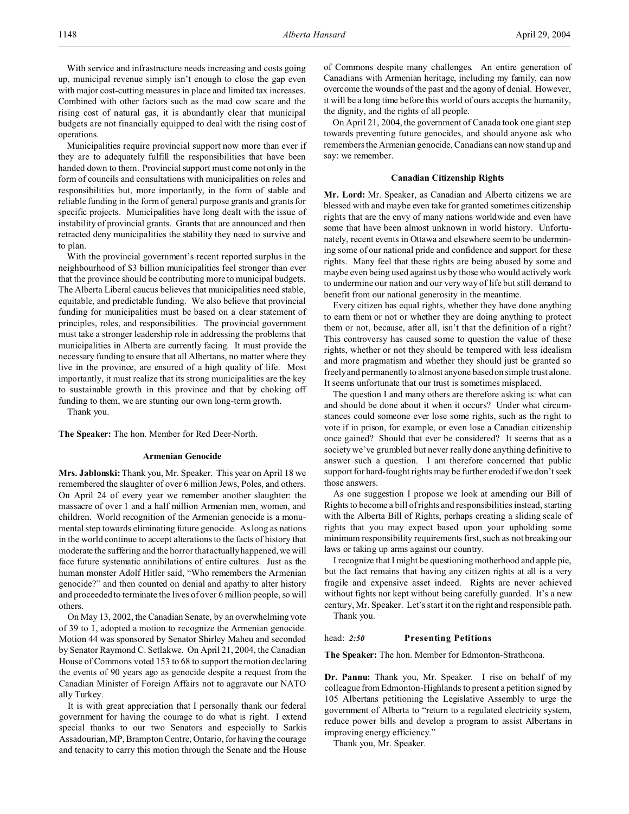With service and infrastructure needs increasing and costs going up, municipal revenue simply isn't enough to close the gap even with major cost-cutting measures in place and limited tax increases. Combined with other factors such as the mad cow scare and the rising cost of natural gas, it is abundantly clear that municipal budgets are not financially equipped to deal with the rising cost of operations.

Municipalities require provincial support now more than ever if they are to adequately fulfill the responsibilities that have been handed down to them. Provincial support must come not only in the form of councils and consultations with municipalities on roles and responsibilities but, more importantly, in the form of stable and reliable funding in the form of general purpose grants and grants for specific projects. Municipalities have long dealt with the issue of instability of provincial grants. Grants that are announced and then retracted deny municipalities the stability they need to survive and to plan.

With the provincial government's recent reported surplus in the neighbourhood of \$3 billion municipalities feel stronger than ever that the province should be contributing more to municipal budgets. The Alberta Liberal caucus believes that municipalities need stable, equitable, and predictable funding. We also believe that provincial funding for municipalities must be based on a clear statement of principles, roles, and responsibilities. The provincial government must take a stronger leadership role in addressing the problems that municipalities in Alberta are currently facing. It must provide the necessary funding to ensure that all Albertans, no matter where they live in the province, are ensured of a high quality of life. Most importantly, it must realize that its strong municipalities are the key to sustainable growth in this province and that by choking off funding to them, we are stunting our own long-term growth.

Thank you.

**The Speaker:** The hon. Member for Red Deer-North.

# **Armenian Genocide**

**Mrs. Jablonski:** Thank you, Mr. Speaker. This year on April 18 we remembered the slaughter of over 6 million Jews, Poles, and others. On April 24 of every year we remember another slaughter: the massacre of over 1 and a half million Armenian men, women, and children. World recognition of the Armenian genocide is a monumental step towards eliminating future genocide. As long as nations in the world continue to accept alterations to the facts of history that moderate the suffering and the horror that actually happened, we will face future systematic annihilations of entire cultures. Just as the human monster Adolf Hitler said, "Who remembers the Armenian genocide?" and then counted on denial and apathy to alter history and proceeded to terminate the lives of over 6 million people, so will others.

On May 13, 2002, the Canadian Senate, by an overwhelming vote of 39 to 1, adopted a motion to recognize the Armenian genocide. Motion 44 was sponsored by Senator Shirley Maheu and seconded by Senator Raymond C. Setlakwe. On April 21, 2004, the Canadian House of Commons voted 153 to 68 to support the motion declaring the events of 90 years ago as genocide despite a request from the Canadian Minister of Foreign Affairs not to aggravate our NATO ally Turkey.

It is with great appreciation that I personally thank our federal government for having the courage to do what is right. I extend special thanks to our two Senators and especially to Sarkis Assadourian, MP, Brampton Centre, Ontario, for having the courage and tenacity to carry this motion through the Senate and the House

of Commons despite many challenges. An entire generation of Canadians with Armenian heritage, including my family, can now overcome the wounds of the past and the agony of denial. However, it will be a long time before this world of ours accepts the humanity, the dignity, and the rights of all people.

On April 21, 2004, the government of Canada took one giant step towards preventing future genocides, and should anyone ask who remembers the Armenian genocide, Canadians can now stand up and say: we remember.

#### **Canadian Citizenship Rights**

**Mr. Lord:** Mr. Speaker, as Canadian and Alberta citizens we are blessed with and maybe even take for granted sometimes citizenship rights that are the envy of many nations worldwide and even have some that have been almost unknown in world history. Unfortunately, recent events in Ottawa and elsewhere seem to be undermining some of our national pride and confidence and support for these rights. Many feel that these rights are being abused by some and maybe even being used against us by those who would actively work to undermine our nation and our very way of life but still demand to benefit from our national generosity in the meantime.

Every citizen has equal rights, whether they have done anything to earn them or not or whether they are doing anything to protect them or not, because, after all, isn't that the definition of a right? This controversy has caused some to question the value of these rights, whether or not they should be tempered with less idealism and more pragmatism and whether they should just be granted so freely and permanently to almost anyone based on simple trust alone. It seems unfortunate that our trust is sometimes misplaced.

The question I and many others are therefore asking is: what can and should be done about it when it occurs? Under what circumstances could someone ever lose some rights, such as the right to vote if in prison, for example, or even lose a Canadian citizenship once gained? Should that ever be considered? It seems that as a society we've grumbled but never really done anything definitive to answer such a question. I am therefore concerned that public support for hard-fought rights may be further eroded if we don't seek those answers.

As one suggestion I propose we look at amending our Bill of Rights to become a bill of rights and responsibilities instead, starting with the Alberta Bill of Rights, perhaps creating a sliding scale of rights that you may expect based upon your upholding some minimum responsibility requirements first, such as not breaking our laws or taking up arms against our country.

I recognize that I might be questioning motherhood and apple pie, but the fact remains that having any citizen rights at all is a very fragile and expensive asset indeed. Rights are never achieved without fights nor kept without being carefully guarded. It's a new century, Mr. Speaker. Let's start it on the right and responsible path. Thank you.

# head: *2:50* **Presenting Petitions**

**The Speaker:** The hon. Member for Edmonton-Strathcona.

**Dr. Pannu:** Thank you, Mr. Speaker. I rise on behalf of my colleague from Edmonton-Highlands to present a petition signed by 105 Albertans petitioning the Legislative Assembly to urge the government of Alberta to "return to a regulated electricity system, reduce power bills and develop a program to assist Albertans in improving energy efficiency."

Thank you, Mr. Speaker.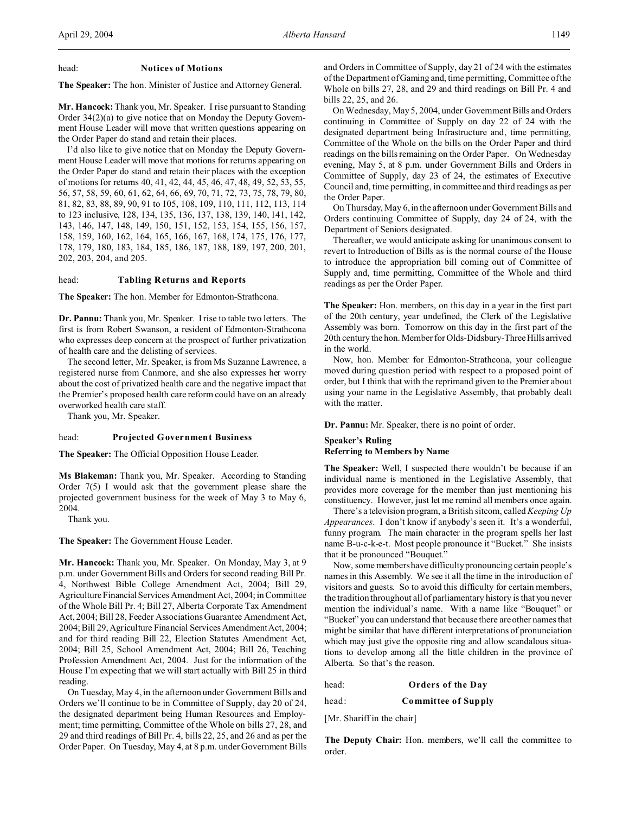#### head: **Notices of Motions**

**The Speaker:** The hon. Minister of Justice and Attorney General.

**Mr. Hancock:** Thank you, Mr. Speaker. I rise pursuant to Standing Order 34(2)(a) to give notice that on Monday the Deputy Government House Leader will move that written questions appearing on the Order Paper do stand and retain their places.

I'd also like to give notice that on Monday the Deputy Government House Leader will move that motions for returns appearing on the Order Paper do stand and retain their places with the exception of motions for returns 40, 41, 42, 44, 45, 46, 47, 48, 49, 52, 53, 55, 56, 57, 58, 59, 60, 61, 62, 64, 66, 69, 70, 71, 72, 73, 75, 78, 79, 80, 81, 82, 83, 88, 89, 90, 91 to 105, 108, 109, 110, 111, 112, 113, 114 to 123 inclusive, 128, 134, 135, 136, 137, 138, 139, 140, 141, 142, 143, 146, 147, 148, 149, 150, 151, 152, 153, 154, 155, 156, 157, 158, 159, 160, 162, 164, 165, 166, 167, 168, 174, 175, 176, 177, 178, 179, 180, 183, 184, 185, 186, 187, 188, 189, 197, 200, 201, 202, 203, 204, and 205.

## head: **Tabling Returns and Reports**

**The Speaker:** The hon. Member for Edmonton-Strathcona.

**Dr. Pannu:** Thank you, Mr. Speaker. I rise to table two letters. The first is from Robert Swanson, a resident of Edmonton-Strathcona who expresses deep concern at the prospect of further privatization of health care and the delisting of services.

The second letter, Mr. Speaker, is from Ms Suzanne Lawrence, a registered nurse from Canmore, and she also expresses her worry about the cost of privatized health care and the negative impact that the Premier's proposed health care reform could have on an already overworked health care staff.

Thank you, Mr. Speaker.

#### head: **Projected Government Business**

**The Speaker:** The Official Opposition House Leader.

**Ms Blakeman:** Thank you, Mr. Speaker. According to Standing Order 7(5) I would ask that the government please share the projected government business for the week of May 3 to May 6, 2004.

Thank you.

**The Speaker:** The Government House Leader.

**Mr. Hancock:** Thank you, Mr. Speaker. On Monday, May 3, at 9 p.m. under Government Bills and Orders for second reading Bill Pr. 4, Northwest Bible College Amendment Act, 2004; Bill 29, Agriculture Financial Services Amendment Act, 2004; in Committee of the Whole Bill Pr. 4; Bill 27, Alberta Corporate Tax Amendment Act, 2004; Bill 28, Feeder Associations Guarantee Amendment Act, 2004; Bill 29, Agriculture Financial Services Amendment Act, 2004; and for third reading Bill 22, Election Statutes Amendment Act, 2004; Bill 25, School Amendment Act, 2004; Bill 26, Teaching Profession Amendment Act, 2004. Just for the information of the House I'm expecting that we will start actually with Bill 25 in third reading.

On Tuesday, May 4, in the afternoon under Government Bills and Orders we'll continue to be in Committee of Supply, day 20 of 24, the designated department being Human Resources and Employment; time permitting, Committee of the Whole on bills 27, 28, and 29 and third readings of Bill Pr. 4, bills 22, 25, and 26 and as per the Order Paper. On Tuesday, May 4, at 8 p.m. under Government Bills and Orders in Committee of Supply, day 21 of 24 with the estimates of the Department of Gaming and, time permitting, Committee of the Whole on bills 27, 28, and 29 and third readings on Bill Pr. 4 and bills 22, 25, and 26.

On Wednesday, May 5, 2004, under Government Bills and Orders continuing in Committee of Supply on day 22 of 24 with the designated department being Infrastructure and, time permitting, Committee of the Whole on the bills on the Order Paper and third readings on the bills remaining on the Order Paper. On Wednesday evening, May 5, at 8 p.m. under Government Bills and Orders in Committee of Supply, day 23 of 24, the estimates of Executive Council and, time permitting, in committee and third readings as per the Order Paper.

On Thursday, May 6, in the afternoon under Government Bills and Orders continuing Committee of Supply, day 24 of 24, with the Department of Seniors designated.

Thereafter, we would anticipate asking for unanimous consent to revert to Introduction of Bills as is the normal course of the House to introduce the appropriation bill coming out of Committee of Supply and, time permitting, Committee of the Whole and third readings as per the Order Paper.

**The Speaker:** Hon. members, on this day in a year in the first part of the 20th century, year undefined, the Clerk of the Legislative Assembly was born. Tomorrow on this day in the first part of the 20th century the hon. Member for Olds-Didsbury-Three Hillsarrived in the world.

Now, hon. Member for Edmonton-Strathcona, your colleague moved during question period with respect to a proposed point of order, but I think that with the reprimand given to the Premier about using your name in the Legislative Assembly, that probably dealt with the matter.

**Dr. Pannu:** Mr. Speaker, there is no point of order.

# **Speaker's Ruling Referring to Members by Name**

**The Speaker:** Well, I suspected there wouldn't be because if an individual name is mentioned in the Legislative Assembly, that provides more coverage for the member than just mentioning his constituency. However, just let me remind all members once again.

There's a television program, a British sitcom, called *Keeping Up Appearances*. I don't know if anybody's seen it. It's a wonderful, funny program. The main character in the program spells her last name B-u-c-k-e-t. Most people pronounce it "Bucket." She insists that it be pronounced "Bouquet."

Now, some members have difficulty pronouncing certain people's names in this Assembly. We see it all the time in the introduction of visitors and guests. So to avoid this difficulty for certain members, the tradition throughout all of parliamentary history is that you never mention the individual's name. With a name like "Bouquet" or "Bucket" you can understand that because there are other names that might be similar that have different interpretations of pronunciation which may just give the opposite ring and allow scandalous situations to develop among all the little children in the province of Alberta. So that's the reason.

head: **Orders of the Day**

head: **Committee of Supply**

[Mr. Shariff in the chair]

**The Deputy Chair:** Hon. members, we'll call the committee to order.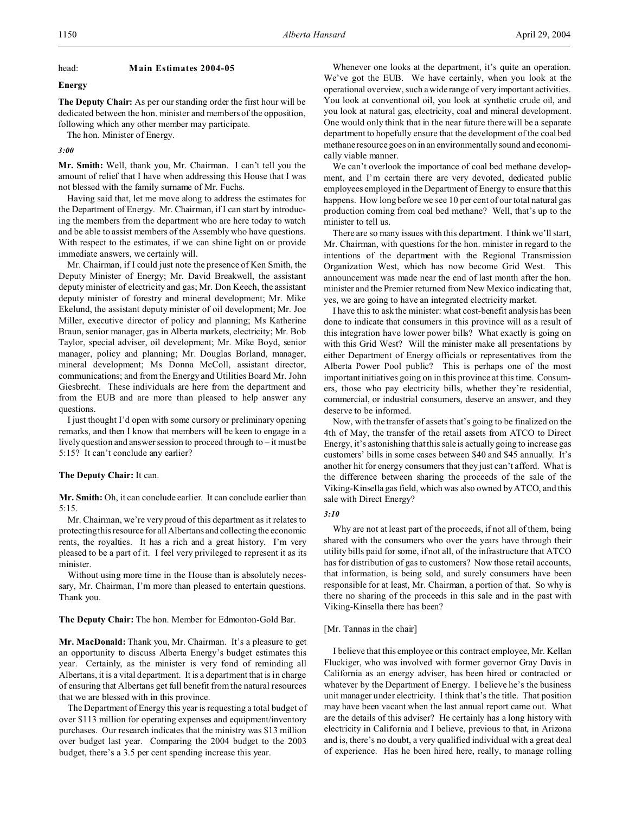# head: **Main Estimates 2004-05**

## **Energy**

**The Deputy Chair:** As per our standing order the first hour will be dedicated between the hon. minister and members of the opposition, following which any other member may participate.

The hon. Minister of Energy.

*3:00*

**Mr. Smith:** Well, thank you, Mr. Chairman. I can't tell you the amount of relief that I have when addressing this House that I was not blessed with the family surname of Mr. Fuchs.

Having said that, let me move along to address the estimates for the Department of Energy. Mr. Chairman, if I can start by introducing the members from the department who are here today to watch and be able to assist members of the Assembly who have questions. With respect to the estimates, if we can shine light on or provide immediate answers, we certainly will.

Mr. Chairman, if I could just note the presence of Ken Smith, the Deputy Minister of Energy; Mr. David Breakwell, the assistant deputy minister of electricity and gas; Mr. Don Keech, the assistant deputy minister of forestry and mineral development; Mr. Mike Ekelund, the assistant deputy minister of oil development; Mr. Joe Miller, executive director of policy and planning; Ms Katherine Braun, senior manager, gas in Alberta markets, electricity; Mr. Bob Taylor, special adviser, oil development; Mr. Mike Boyd, senior manager, policy and planning; Mr. Douglas Borland, manager, mineral development; Ms Donna McColl, assistant director, communications; and from the Energy and Utilities Board Mr. John Giesbrecht. These individuals are here from the department and from the EUB and are more than pleased to help answer any questions.

I just thought I'd open with some cursory or preliminary opening remarks, and then I know that members will be keen to engage in a lively question and answer session to proceed through to – it must be 5:15? It can't conclude any earlier?

# **The Deputy Chair:** It can.

**Mr. Smith:** Oh, it can conclude earlier. It can conclude earlier than 5:15.

Mr. Chairman, we're very proud of this department as it relates to protecting this resource for all Albertans and collecting the economic rents, the royalties. It has a rich and a great history. I'm very pleased to be a part of it. I feel very privileged to represent it as its minister.

Without using more time in the House than is absolutely necessary, Mr. Chairman, I'm more than pleased to entertain questions. Thank you.

**The Deputy Chair:** The hon. Member for Edmonton-Gold Bar.

**Mr. MacDonald:** Thank you, Mr. Chairman. It's a pleasure to get an opportunity to discuss Alberta Energy's budget estimates this year. Certainly, as the minister is very fond of reminding all Albertans, it is a vital department. It is a department that is in charge of ensuring that Albertans get full benefit from the natural resources that we are blessed with in this province.

The Department of Energy this year is requesting a total budget of over \$113 million for operating expenses and equipment/inventory purchases. Our research indicates that the ministry was \$13 million over budget last year. Comparing the 2004 budget to the 2003 budget, there's a 3.5 per cent spending increase this year.

Whenever one looks at the department, it's quite an operation. We've got the EUB. We have certainly, when you look at the operational overview, such a wide range of very important activities. You look at conventional oil, you look at synthetic crude oil, and you look at natural gas, electricity, coal and mineral development. One would only think that in the near future there will be a separate department to hopefully ensure that the development of the coal bed methane resource goes on in an environmentally sound and economically viable manner.

We can't overlook the importance of coal bed methane development, and I'm certain there are very devoted, dedicated public employees employed in the Department of Energy to ensure that this happens. How long before we see 10 per cent of our total natural gas production coming from coal bed methane? Well, that's up to the minister to tell us.

There are so many issues with this department. I think we'll start, Mr. Chairman, with questions for the hon. minister in regard to the intentions of the department with the Regional Transmission Organization West, which has now become Grid West. This announcement was made near the end of last month after the hon. minister and the Premier returned from New Mexico indicating that, yes, we are going to have an integrated electricity market.

I have this to ask the minister: what cost-benefit analysis has been done to indicate that consumers in this province will as a result of this integration have lower power bills? What exactly is going on with this Grid West? Will the minister make all presentations by either Department of Energy officials or representatives from the Alberta Power Pool public? This is perhaps one of the most important initiatives going on in this province at this time. Consumers, those who pay electricity bills, whether they're residential, commercial, or industrial consumers, deserve an answer, and they deserve to be informed.

Now, with the transfer of assets that's going to be finalized on the 4th of May, the transfer of the retail assets from ATCO to Direct Energy, it's astonishing that this sale is actually going to increase gas customers' bills in some cases between \$40 and \$45 annually. It's another hit for energy consumers that they just can't afford. What is the difference between sharing the proceeds of the sale of the Viking-Kinsella gas field, which was also owned by ATCO, and this sale with Direct Energy?

#### *3:10*

Why are not at least part of the proceeds, if not all of them, being shared with the consumers who over the years have through their utility bills paid for some, if not all, of the infrastructure that ATCO has for distribution of gas to customers? Now those retail accounts, that information, is being sold, and surely consumers have been responsible for at least, Mr. Chairman, a portion of that. So why is there no sharing of the proceeds in this sale and in the past with Viking-Kinsella there has been?

## [Mr. Tannas in the chair]

I believe that this employee or this contract employee, Mr. Kellan Fluckiger, who was involved with former governor Gray Davis in California as an energy adviser, has been hired or contracted or whatever by the Department of Energy. I believe he's the business unit manager under electricity. I think that's the title. That position may have been vacant when the last annual report came out. What are the details of this adviser? He certainly has a long history with electricity in California and I believe, previous to that, in Arizona and is, there's no doubt, a very qualified individual with a great deal of experience. Has he been hired here, really, to manage rolling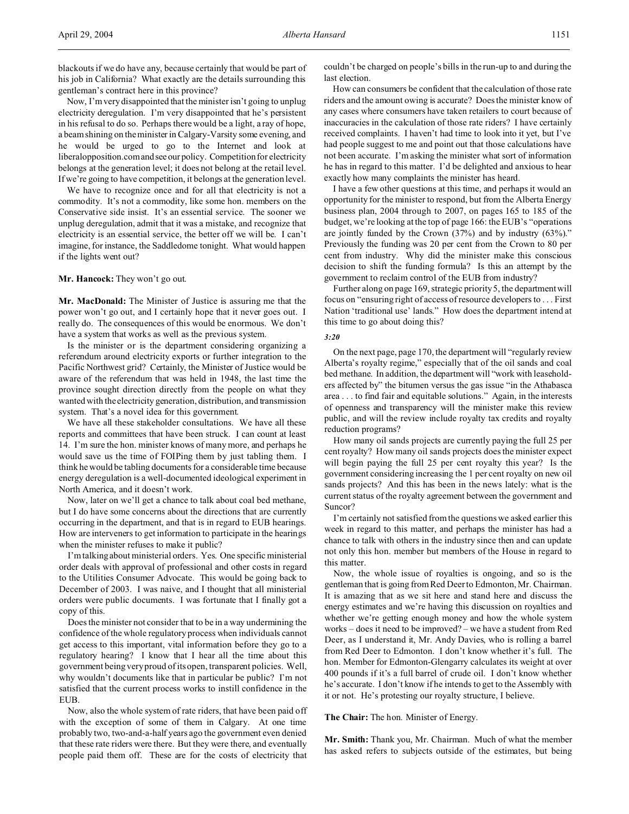Now, I'm very disappointed that the minister isn't going to unplug electricity deregulation. I'm very disappointed that he's persistent in his refusal to do so. Perhaps there would be a light, a ray of hope, a beam shining on the minister in Calgary-Varsity some evening, and he would be urged to go to the Internet and look at liberalopposition.comand seeour policy. Competition for electricity belongs at the generation level; it does not belong at the retail level. If we're going to have competition, it belongs at the generation level.

We have to recognize once and for all that electricity is not a commodity. It's not a commodity, like some hon. members on the Conservative side insist. It's an essential service. The sooner we unplug deregulation, admit that it was a mistake, and recognize that electricity is an essential service, the better off we will be. I can't imagine, for instance, the Saddledome tonight. What would happen if the lights went out?

# **Mr. Hancock:** They won't go out.

**Mr. MacDonald:** The Minister of Justice is assuring me that the power won't go out, and I certainly hope that it never goes out. I really do. The consequences of this would be enormous. We don't have a system that works as well as the previous system.

Is the minister or is the department considering organizing a referendum around electricity exports or further integration to the Pacific Northwest grid? Certainly, the Minister of Justice would be aware of the referendum that was held in 1948, the last time the province sought direction directly from the people on what they wanted with the electricity generation, distribution, and transmission system. That's a novel idea for this government.

We have all these stakeholder consultations. We have all these reports and committees that have been struck. I can count at least 14. I'm sure the hon. minister knows of many more, and perhaps he would save us the time of FOIPing them by just tabling them. I think he would be tabling documents for a considerable time because energy deregulation is a well-documented ideological experiment in North America, and it doesn't work.

Now, later on we'll get a chance to talk about coal bed methane, but I do have some concerns about the directions that are currently occurring in the department, and that is in regard to EUB hearings. How are interveners to get information to participate in the hearings when the minister refuses to make it public?

I'm talking about ministerial orders. Yes. One specific ministerial order deals with approval of professional and other costs in regard to the Utilities Consumer Advocate. This would be going back to December of 2003. I was naive, and I thought that all ministerial orders were public documents. I was fortunate that I finally got a copy of this.

Does the minister not consider that to be in a way undermining the confidence of the whole regulatory process when individuals cannot get access to this important, vital information before they go to a regulatory hearing? I know that I hear all the time about this government being very proud of its open, transparent policies. Well, why wouldn't documents like that in particular be public? I'm not satisfied that the current process works to instill confidence in the EUB.

Now, also the whole system of rate riders, that have been paid off with the exception of some of them in Calgary. At one time probably two, two-and-a-half years ago the government even denied that these rate riders were there. But they were there, and eventually people paid them off. These are for the costs of electricity that

couldn't be charged on people's bills in the run-up to and during the last election.

How can consumers be confident that the calculation of those rate riders and the amount owing is accurate? Does the minister know of any cases where consumers have taken retailers to court because of inaccuracies in the calculation of those rate riders? I have certainly received complaints. I haven't had time to look into it yet, but I've had people suggest to me and point out that those calculations have not been accurate. I'm asking the minister what sort of information he has in regard to this matter. I'd be delighted and anxious to hear exactly how many complaints the minister has heard.

I have a few other questions at this time, and perhaps it would an opportunity for the minister to respond, but from the Alberta Energy business plan, 2004 through to 2007, on pages 165 to 185 of the budget, we're looking at the top of page 166: the EUB's "operations are jointly funded by the Crown (37%) and by industry (63%)." Previously the funding was 20 per cent from the Crown to 80 per cent from industry. Why did the minister make this conscious decision to shift the funding formula? Is this an attempt by the government to reclaim control of the EUB from industry?

Further along on page 169, strategic priority 5, the department will focus on "ensuring right of access of resource developers to . . . First Nation 'traditional use' lands." How does the department intend at this time to go about doing this?

## *3:20*

On the next page, page 170, the department will "regularly review Alberta's royalty regime," especially that of the oil sands and coal bed methane. In addition, the department will "work with leaseholders affected by" the bitumen versus the gas issue "in the Athabasca area . . . to find fair and equitable solutions." Again, in the interests of openness and transparency will the minister make this review public, and will the review include royalty tax credits and royalty reduction programs?

How many oil sands projects are currently paying the full 25 per cent royalty? How many oil sands projects does the minister expect will begin paying the full 25 per cent royalty this year? Is the government considering increasing the 1 per cent royalty on new oil sands projects? And this has been in the news lately: what is the current status of the royalty agreement between the government and Suncor?

I'm certainly not satisfied from the questions we asked earlier this week in regard to this matter, and perhaps the minister has had a chance to talk with others in the industry since then and can update not only this hon. member but members of the House in regard to this matter.

Now, the whole issue of royalties is ongoing, and so is the gentleman that is going from Red Deer to Edmonton, Mr. Chairman. It is amazing that as we sit here and stand here and discuss the energy estimates and we're having this discussion on royalties and whether we're getting enough money and how the whole system works – does it need to be improved? – we have a student from Red Deer, as I understand it, Mr. Andy Davies, who is rolling a barrel from Red Deer to Edmonton. I don't know whether it's full. The hon. Member for Edmonton-Glengarry calculates its weight at over 400 pounds if it's a full barrel of crude oil. I don't know whether he's accurate. I don't know if he intends to get to the Assembly with it or not. He's protesting our royalty structure, I believe.

## **The Chair:** The hon. Minister of Energy.

**Mr. Smith:** Thank you, Mr. Chairman. Much of what the member has asked refers to subjects outside of the estimates, but being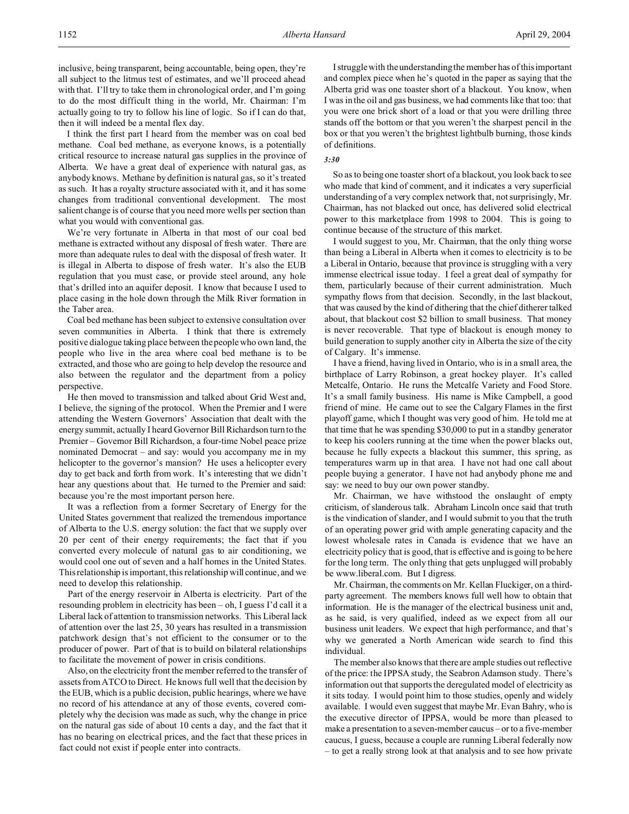I think the first part I heard from the member was on coal bed methane. Coal bed methane, as everyone knows, is a potentially critical resource to increase natural gas supplies in the province of Alberta. We have a great deal of experience with natural gas, as anybody knows. Methane by definition is natural gas, so it's treated as such. It has a royalty structure associated with it, and it has some changes from traditional conventional development. The most salient change is of course that you need more wells per section than what you would with conventional gas.

We're very fortunate in Alberta in that most of our coal bed methane is extracted without any disposal of fresh water. There are more than adequate rules to deal with the disposal of fresh water. It is illegal in Alberta to dispose of fresh water. It's also the EUB regulation that you must case, or provide steel around, any hole that's drilled into an aquifer deposit. I know that because I used to place casing in the hole down through the Milk River formation in the Taber area.

Coal bed methane has been subject to extensive consultation over seven communities in Alberta. I think that there is extremely positive dialogue taking place between the people who own land, the people who live in the area where coal bed methane is to be extracted, and those who are going to help develop the resource and also between the regulator and the department from a policy perspective.

He then moved to transmission and talked about Grid West and, I believe, the signing of the protocol. When the Premier and I were attending the Western Governors' Association that dealt with the energy summit, actually I heard Governor Bill Richardson turn to the Premier – Governor Bill Richardson, a four-time Nobel peace prize nominated Democrat – and say: would you accompany me in my helicopter to the governor's mansion? He uses a helicopter every day to get back and forth from work. It's interesting that we didn't hear any questions about that. He turned to the Premier and said: because you're the most important person here.

It was a reflection from a former Secretary of Energy for the United States government that realized the tremendous importance of Alberta to the U.S. energy solution: the fact that we supply over 20 per cent of their energy requirements; the fact that if you converted every molecule of natural gas to air conditioning, we would cool one out of seven and a half homes in the United States. This relationship is important, this relationship will continue, and we need to develop this relationship.

Part of the energy reservoir in Alberta is electricity. Part of the resounding problem in electricity has been – oh, I guess I'd call it a Liberal lack of attention to transmission networks. This Liberal lack of attention over the last 25, 30 years has resulted in a transmission patchwork design that's not efficient to the consumer or to the producer of power. Part of that is to build on bilateral relationships to facilitate the movement of power in crisis conditions.

Also, on the electricity front the member referred to the transfer of assets from ATCO to Direct. He knows full well that the decision by the EUB, which is a public decision, public hearings, where we have no record of his attendance at any of those events, covered completely why the decision was made as such, why the change in price on the natural gas side of about 10 cents a day, and the fact that it has no bearing on electrical prices, and the fact that these prices in fact could not exist if people enter into contracts.

I struggle with the understanding the member has of this important and complex piece when he's quoted in the paper as saying that the Alberta grid was one toaster short of a blackout. You know, when I was in the oil and gas business, we had comments like that too: that you were one brick short of a load or that you were drilling three stands off the bottom or that you weren't the sharpest pencil in the box or that you weren't the brightest lightbulb burning, those kinds of definitions.

## *3:30*

So as to being one toaster short of a blackout, you look back to see who made that kind of comment, and it indicates a very superficial understanding of a very complex network that, not surprisingly, Mr. Chairman, has not blacked out once, has delivered solid electrical power to this marketplace from 1998 to 2004. This is going to continue because of the structure of this market.

I would suggest to you, Mr. Chairman, that the only thing worse than being a Liberal in Alberta when it comes to electricity is to be a Liberal in Ontario, because that province is struggling with a very immense electrical issue today. I feel a great deal of sympathy for them, particularly because of their current administration. Much sympathy flows from that decision. Secondly, in the last blackout, that was caused by the kind of dithering that the chief ditherer talked about, that blackout cost \$2 billion to small business. That money is never recoverable. That type of blackout is enough money to build generation to supply another city in Alberta the size of the city of Calgary. It's immense.

I have a friend, having lived in Ontario, who is in a small area, the birthplace of Larry Robinson, a great hockey player. It's called Metcalfe, Ontario. He runs the Metcalfe Variety and Food Store. It's a small family business. His name is Mike Campbell, a good friend of mine. He came out to see the Calgary Flames in the first playoff game, which I thought was very good of him. He told me at that time that he was spending \$30,000 to put in a standby generator to keep his coolers running at the time when the power blacks out, because he fully expects a blackout this summer, this spring, as temperatures warm up in that area. I have not had one call about people buying a generator. I have not had anybody phone me and say: we need to buy our own power standby.

Mr. Chairman, we have withstood the onslaught of empty criticism, of slanderous talk. Abraham Lincoln once said that truth is the vindication of slander, and I would submit to you that the truth of an operating power grid with ample generating capacity and the lowest wholesale rates in Canada is evidence that we have an electricity policy that is good, that is effective and is going to be here for the long term. The only thing that gets unplugged will probably be www.liberal.com. But I digress.

Mr. Chairman, the comments on Mr. Kellan Fluckiger, on a thirdparty agreement. The members knows full well how to obtain that information. He is the manager of the electrical business unit and, as he said, is very qualified, indeed as we expect from all our business unit leaders. We expect that high performance, and that's why we generated a North American wide search to find this individual.

The member also knows that there are ample studies out reflective of the price: the IPPSA study, the Seabron Adamson study. There's information out that supports the deregulated model of electricity as it sits today. I would point him to those studies, openly and widely available. I would even suggest that maybe Mr. Evan Bahry, who is the executive director of IPPSA, would be more than pleased to make a presentation to a seven-member caucus – or to a five-member caucus, I guess, because a couple are running Liberal federally now – to get a really strong look at that analysis and to see how private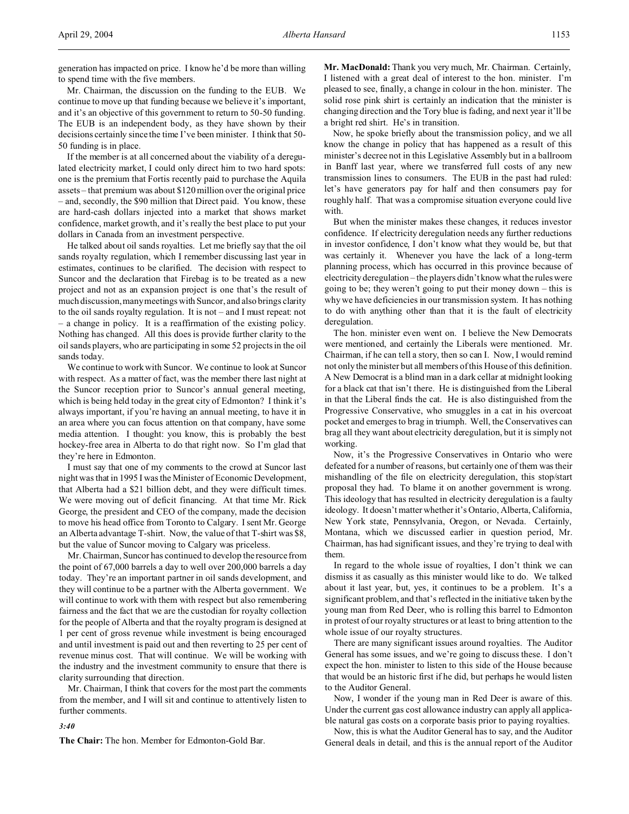generation has impacted on price. I know he'd be more than willing to spend time with the five members.

Mr. Chairman, the discussion on the funding to the EUB. We continue to move up that funding because we believe it's important, and it's an objective of this government to return to 50-50 funding. The EUB is an independent body, as they have shown by their decisions certainly since the time I've been minister. I think that 50- 50 funding is in place.

If the member is at all concerned about the viability of a deregulated electricity market, I could only direct him to two hard spots: one is the premium that Fortis recently paid to purchase the Aquila assets – that premium was about \$120 million over the original price – and, secondly, the \$90 million that Direct paid. You know, these are hard-cash dollars injected into a market that shows market confidence, market growth, and it's really the best place to put your dollars in Canada from an investment perspective.

He talked about oil sands royalties. Let me briefly say that the oil sands royalty regulation, which I remember discussing last year in estimates, continues to be clarified. The decision with respect to Suncor and the declaration that Firebag is to be treated as a new project and not as an expansion project is one that's the result of much discussion, many meetings with Suncor, and also brings clarity to the oil sands royalty regulation. It is not – and I must repeat: not – a change in policy. It is a reaffirmation of the existing policy. Nothing has changed. All this does is provide further clarity to the oil sands players, who are participating in some 52 projects in the oil sands today.

We continue to work with Suncor. We continue to look at Suncor with respect. As a matter of fact, was the member there last night at the Suncor reception prior to Suncor's annual general meeting, which is being held today in the great city of Edmonton? I think it's always important, if you're having an annual meeting, to have it in an area where you can focus attention on that company, have some media attention. I thought: you know, this is probably the best hockey-free area in Alberta to do that right now. So I'm glad that they're here in Edmonton.

I must say that one of my comments to the crowd at Suncor last night was that in 1995 I was the Minister of Economic Development, that Alberta had a \$21 billion debt, and they were difficult times. We were moving out of deficit financing. At that time Mr. Rick George, the president and CEO of the company, made the decision to move his head office from Toronto to Calgary. I sent Mr. George an Alberta advantage T-shirt. Now, the value of that T-shirt was \$8, but the value of Suncor moving to Calgary was priceless.

Mr. Chairman, Suncor has continued to develop the resource from the point of 67,000 barrels a day to well over 200,000 barrels a day today. They're an important partner in oil sands development, and they will continue to be a partner with the Alberta government. We will continue to work with them with respect but also remembering fairness and the fact that we are the custodian for royalty collection for the people of Alberta and that the royalty program is designed at 1 per cent of gross revenue while investment is being encouraged and until investment is paid out and then reverting to 25 per cent of revenue minus cost. That will continue. We will be working with the industry and the investment community to ensure that there is clarity surrounding that direction.

Mr. Chairman, I think that covers for the most part the comments from the member, and I will sit and continue to attentively listen to further comments.

## *3:40*

**The Chair:** The hon. Member for Edmonton-Gold Bar.

**Mr. MacDonald:** Thank you very much, Mr. Chairman. Certainly, I listened with a great deal of interest to the hon. minister. I'm pleased to see, finally, a change in colour in the hon. minister. The solid rose pink shirt is certainly an indication that the minister is changing direction and the Tory blue is fading, and next year it'll be a bright red shirt. He's in transition.

Now, he spoke briefly about the transmission policy, and we all know the change in policy that has happened as a result of this minister's decree not in this Legislative Assembly but in a ballroom in Banff last year, where we transferred full costs of any new transmission lines to consumers. The EUB in the past had ruled: let's have generators pay for half and then consumers pay for roughly half. That was a compromise situation everyone could live with.

But when the minister makes these changes, it reduces investor confidence. If electricity deregulation needs any further reductions in investor confidence, I don't know what they would be, but that was certainly it. Whenever you have the lack of a long-term planning process, which has occurred in this province because of electricity deregulation – the players didn't know what the rules were going to be; they weren't going to put their money down – this is why we have deficiencies in our transmission system. It has nothing to do with anything other than that it is the fault of electricity deregulation.

The hon. minister even went on. I believe the New Democrats were mentioned, and certainly the Liberals were mentioned. Mr. Chairman, if he can tell a story, then so can I. Now, I would remind not only the minister but all members of this House of this definition. A New Democrat is a blind man in a dark cellar at midnight looking for a black cat that isn't there. He is distinguished from the Liberal in that the Liberal finds the cat. He is also distinguished from the Progressive Conservative, who smuggles in a cat in his overcoat pocket and emerges to brag in triumph. Well, the Conservatives can brag all they want about electricity deregulation, but it is simply not working.

Now, it's the Progressive Conservatives in Ontario who were defeated for a number of reasons, but certainly one of them was their mishandling of the file on electricity deregulation, this stop/start proposal they had. To blame it on another government is wrong. This ideology that has resulted in electricity deregulation is a faulty ideology. It doesn't matter whether it's Ontario, Alberta, California, New York state, Pennsylvania, Oregon, or Nevada. Certainly, Montana, which we discussed earlier in question period, Mr. Chairman, has had significant issues, and they're trying to deal with them.

In regard to the whole issue of royalties, I don't think we can dismiss it as casually as this minister would like to do. We talked about it last year, but, yes, it continues to be a problem. It's a significant problem, and that's reflected in the initiative taken by the young man from Red Deer, who is rolling this barrel to Edmonton in protest of our royalty structures or at least to bring attention to the whole issue of our royalty structures.

There are many significant issues around royalties. The Auditor General has some issues, and we're going to discuss these. I don't expect the hon. minister to listen to this side of the House because that would be an historic first if he did, but perhaps he would listen to the Auditor General.

Now, I wonder if the young man in Red Deer is aware of this. Under the current gas cost allowance industry can apply all applicable natural gas costs on a corporate basis prior to paying royalties.

Now, this is what the Auditor General has to say, and the Auditor General deals in detail, and this is the annual report of the Auditor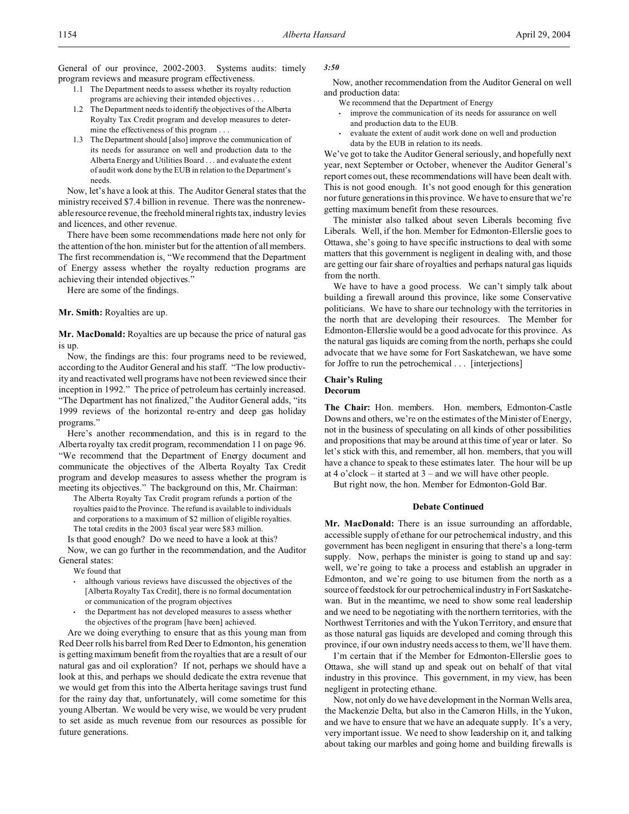General of our province, 2002-2003. Systems audits: timely program reviews and measure program effectiveness.

- 1.1 The Department needs to assess whether its royalty reduction programs are achieving their intended objectives . . .
- 1.2 The Department needs to identify the objectives of the Alberta Royalty Tax Credit program and develop measures to determine the effectiveness of this program . . .
- 1.3 The Department should [also] improve the communication of its needs for assurance on well and production data to the Alberta Energy and Utilities Board . . . and evaluate the extent of audit work done by the EUB in relation to the Department's needs.

Now, let's have a look at this. The Auditor General states that the ministry received \$7.4 billion in revenue. There was the nonrenewable resource revenue, the freehold mineral rights tax, industry levies and licences, and other revenue.

There have been some recommendations made here not only for the attention of the hon. minister but for the attention of all members. The first recommendation is, "We recommend that the Department of Energy assess whether the royalty reduction programs are achieving their intended objectives."

Here are some of the findings.

# **Mr. Smith:** Royalties are up.

**Mr. MacDonald:** Royalties are up because the price of natural gas is up.

Now, the findings are this: four programs need to be reviewed, according to the Auditor General and his staff. "The low productivity and reactivated well programs have not been reviewed since their inception in 1992." The price of petroleum has certainly increased. "The Department has not finalized," the Auditor General adds, "its 1999 reviews of the horizontal re-entry and deep gas holiday programs."

Here's another recommendation, and this is in regard to the Alberta royalty tax credit program, recommendation 11 on page 96. "We recommend that the Department of Energy document and communicate the objectives of the Alberta Royalty Tax Credit program and develop measures to assess whether the program is meeting its objectives." The background on this, Mr. Chairman:

The Alberta Royalty Tax Credit program refunds a portion of the royalties paid to the Province. The refund is available to individuals and corporations to a maximum of \$2 million of eligible royalties. The total credits in the 2003 fiscal year were \$83 million.

Is that good enough? Do we need to have a look at this? Now, we can go further in the recommendation, and the Auditor

General states:

We found that

- although various reviews have discussed the objectives of the [Alberta Royalty Tax Credit], there is no formal documentation or communication of the program objectives
- the Department has not developed measures to assess whether the objectives of the program [have been] achieved.

Are we doing everything to ensure that as this young man from Red Deer rolls his barrel from Red Deer to Edmonton, his generation is getting maximum benefit from the royalties that are a result of our natural gas and oil exploration? If not, perhaps we should have a look at this, and perhaps we should dedicate the extra revenue that we would get from this into the Alberta heritage savings trust fund for the rainy day that, unfortunately, will come sometime for this young Albertan. We would be very wise, we would be very prudent to set aside as much revenue from our resources as possible for future generations.

## *3:50*

Now, another recommendation from the Auditor General on well and production data:

- We recommend that the Department of Energy
- improve the communication of its needs for assurance on well and production data to the EUB.
- evaluate the extent of audit work done on well and production data by the EUB in relation to its needs.

We've got to take the Auditor General seriously, and hopefully next year, next September or October, whenever the Auditor General's report comes out, these recommendations will have been dealt with. This is not good enough. It's not good enough for this generation nor future generations in this province. We have to ensure that we're getting maximum benefit from these resources.

The minister also talked about seven Liberals becoming five Liberals. Well, if the hon. Member for Edmonton-Ellerslie goes to Ottawa, she's going to have specific instructions to deal with some matters that this government is negligent in dealing with, and those are getting our fair share of royalties and perhaps natural gas liquids from the north.

We have to have a good process. We can't simply talk about building a firewall around this province, like some Conservative politicians. We have to share our technology with the territories in the north that are developing their resources. The Member for Edmonton-Ellerslie would be a good advocate for this province. As the natural gas liquids are coming from the north, perhaps she could advocate that we have some for Fort Saskatchewan, we have some for Joffre to run the petrochemical . . . [interjections]

# **Chair's Ruling Decorum**

**The Chair:** Hon. members. Hon. members, Edmonton-Castle Downs and others, we're on the estimates of the Minister of Energy, not in the business of speculating on all kinds of other possibilities and propositions that may be around at this time of year or later. So let's stick with this, and remember, all hon. members, that you will have a chance to speak to these estimates later. The hour will be up at 4 o'clock – it started at  $3$  – and we will have other people.

But right now, the hon. Member for Edmonton-Gold Bar.

# **Debate Continued**

**Mr. MacDonald:** There is an issue surrounding an affordable, accessible supply of ethane for our petrochemical industry, and this government has been negligent in ensuring that there's a long-term supply. Now, perhaps the minister is going to stand up and say: well, we're going to take a process and establish an upgrader in Edmonton, and we're going to use bitumen from the north as a source of feedstock for our petrochemical industry in Fort Saskatchewan. But in the meantime, we need to show some real leadership and we need to be negotiating with the northern territories, with the Northwest Territories and with the Yukon Territory, and ensure that as those natural gas liquids are developed and coming through this province, if our own industry needs access to them, we'll have them.

I'm certain that if the Member for Edmonton-Ellerslie goes to Ottawa, she will stand up and speak out on behalf of that vital industry in this province. This government, in my view, has been negligent in protecting ethane.

Now, not only do we have development in the Norman Wells area, the Mackenzie Delta, but also in the Cameron Hills, in the Yukon, and we have to ensure that we have an adequate supply. It's a very, very important issue. We need to show leadership on it, and talking about taking our marbles and going home and building firewalls is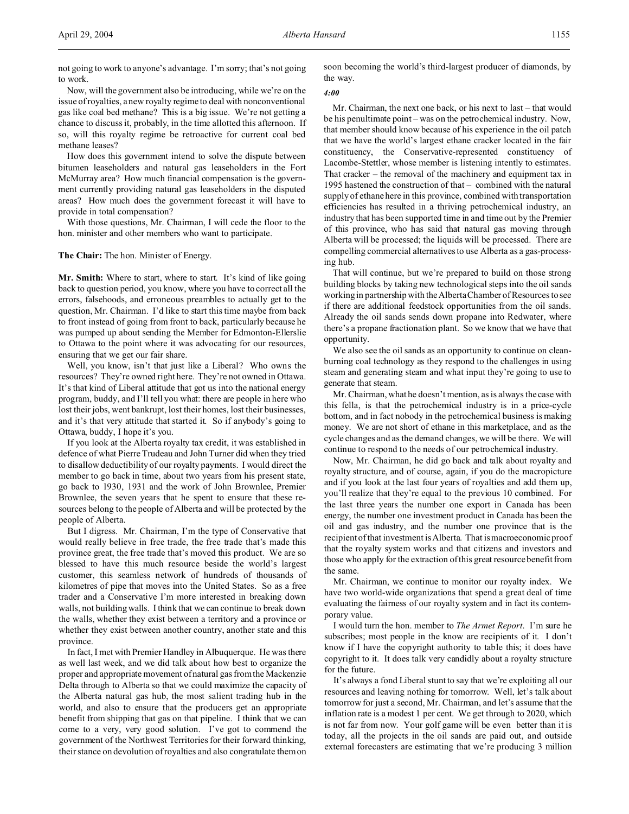not going to work to anyone's advantage. I'm sorry; that's not going to work.

Now, will the government also be introducing, while we're on the issue of royalties, a new royalty regime to deal with nonconventional gas like coal bed methane? This is a big issue. We're not getting a chance to discuss it, probably, in the time allotted this afternoon. If so, will this royalty regime be retroactive for current coal bed methane leases?

How does this government intend to solve the dispute between bitumen leaseholders and natural gas leaseholders in the Fort McMurray area? How much financial compensation is the government currently providing natural gas leaseholders in the disputed areas? How much does the government forecast it will have to provide in total compensation?

With those questions, Mr. Chairman, I will cede the floor to the hon. minister and other members who want to participate.

# **The Chair:** The hon. Minister of Energy.

**Mr. Smith:** Where to start, where to start. It's kind of like going back to question period, you know, where you have to correct all the errors, falsehoods, and erroneous preambles to actually get to the question, Mr. Chairman. I'd like to start this time maybe from back to front instead of going from front to back, particularly because he was pumped up about sending the Member for Edmonton-Ellerslie to Ottawa to the point where it was advocating for our resources, ensuring that we get our fair share.

Well, you know, isn't that just like a Liberal? Who owns the resources? They're owned right here. They're not owned in Ottawa. It's that kind of Liberal attitude that got us into the national energy program, buddy, and I'll tell you what: there are people in here who lost their jobs, went bankrupt, lost their homes, lost their businesses, and it's that very attitude that started it. So if anybody's going to Ottawa, buddy, I hope it's you.

If you look at the Alberta royalty tax credit, it was established in defence of what Pierre Trudeau and John Turner did when they tried to disallow deductibility of our royalty payments. I would direct the member to go back in time, about two years from his present state, go back to 1930, 1931 and the work of John Brownlee, Premier Brownlee, the seven years that he spent to ensure that these resources belong to the people of Alberta and will be protected by the people of Alberta.

But I digress. Mr. Chairman, I'm the type of Conservative that would really believe in free trade, the free trade that's made this province great, the free trade that's moved this product. We are so blessed to have this much resource beside the world's largest customer, this seamless network of hundreds of thousands of kilometres of pipe that moves into the United States. So as a free trader and a Conservative I'm more interested in breaking down walls, not building walls. I think that we can continue to break down the walls, whether they exist between a territory and a province or whether they exist between another country, another state and this province.

In fact, I met with Premier Handley in Albuquerque. He was there as well last week, and we did talk about how best to organize the proper and appropriate movement of natural gas from the Mackenzie Delta through to Alberta so that we could maximize the capacity of the Alberta natural gas hub, the most salient trading hub in the world, and also to ensure that the producers get an appropriate benefit from shipping that gas on that pipeline. I think that we can come to a very, very good solution. I've got to commend the government of the Northwest Territories for their forward thinking, their stance on devolution of royalties and also congratulate them on soon becoming the world's third-largest producer of diamonds, by the way.

# *4:00*

Mr. Chairman, the next one back, or his next to last – that would be his penultimate point – was on the petrochemical industry. Now, that member should know because of his experience in the oil patch that we have the world's largest ethane cracker located in the fair constituency, the Conservative-represented constituency of Lacombe-Stettler, whose member is listening intently to estimates. That cracker – the removal of the machinery and equipment tax in 1995 hastened the construction of that – combined with the natural supply of ethane here in this province, combined with transportation efficiencies has resulted in a thriving petrochemical industry, an industry that has been supported time in and time out by the Premier of this province, who has said that natural gas moving through Alberta will be processed; the liquids will be processed. There are compelling commercial alternatives to use Alberta as a gas-processing hub.

That will continue, but we're prepared to build on those strong building blocks by taking new technological steps into the oil sands working in partnership with the Alberta Chamber of Resources to see if there are additional feedstock opportunities from the oil sands. Already the oil sands sends down propane into Redwater, where there's a propane fractionation plant. So we know that we have that opportunity.

We also see the oil sands as an opportunity to continue on cleanburning coal technology as they respond to the challenges in using steam and generating steam and what input they're going to use to generate that steam.

Mr. Chairman, what he doesn't mention, as is always the case with this fella, is that the petrochemical industry is in a price-cycle bottom, and in fact nobody in the petrochemical business is making money. We are not short of ethane in this marketplace, and as the cycle changes and as the demand changes, we will be there. We will continue to respond to the needs of our petrochemical industry.

Now, Mr. Chairman, he did go back and talk about royalty and royalty structure, and of course, again, if you do the macropicture and if you look at the last four years of royalties and add them up, you'll realize that they're equal to the previous 10 combined. For the last three years the number one export in Canada has been energy, the number one investment product in Canada has been the oil and gas industry, and the number one province that is the recipient of that investment is Alberta. That is macroeconomic proof that the royalty system works and that citizens and investors and those who apply for the extraction of this great resource benefit from the same.

Mr. Chairman, we continue to monitor our royalty index. We have two world-wide organizations that spend a great deal of time evaluating the fairness of our royalty system and in fact its contemporary value.

I would turn the hon. member to *The Armet Report*. I'm sure he subscribes; most people in the know are recipients of it. I don't know if I have the copyright authority to table this; it does have copyright to it. It does talk very candidly about a royalty structure for the future.

It's always a fond Liberal stunt to say that we're exploiting all our resources and leaving nothing for tomorrow. Well, let's talk about tomorrow for just a second, Mr. Chairman, and let's assume that the inflation rate is a modest 1 per cent. We get through to 2020, which is not far from now. Your golf game will be even better than it is today, all the projects in the oil sands are paid out, and outside external forecasters are estimating that we're producing 3 million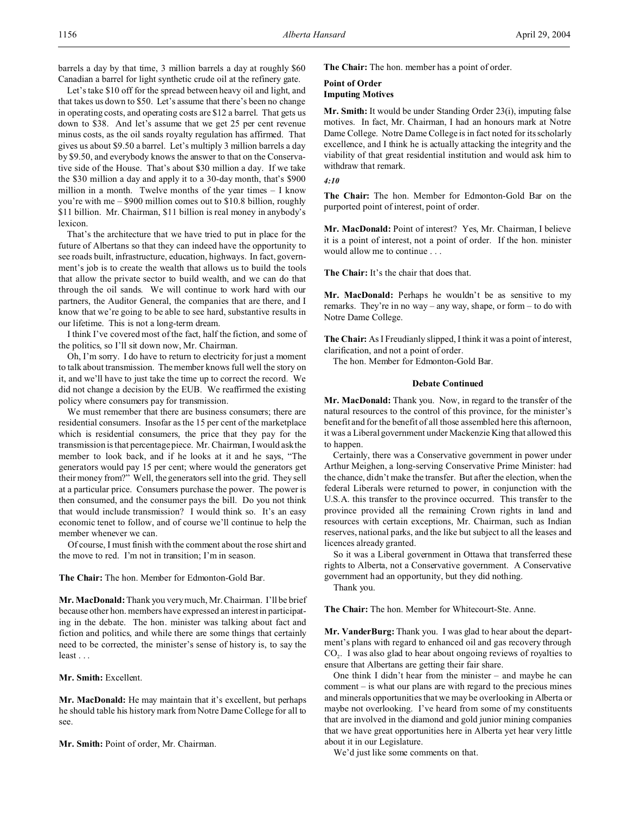barrels a day by that time, 3 million barrels a day at roughly \$60 Canadian a barrel for light synthetic crude oil at the refinery gate.

Let's take \$10 off for the spread between heavy oil and light, and that takes us down to \$50. Let's assume that there's been no change in operating costs, and operating costs are \$12 a barrel. That gets us down to \$38. And let's assume that we get 25 per cent revenue minus costs, as the oil sands royalty regulation has affirmed. That gives us about \$9.50 a barrel. Let's multiply 3 million barrels a day by \$9.50, and everybody knows the answer to that on the Conservative side of the House. That's about \$30 million a day. If we take the \$30 million a day and apply it to a 30-day month, that's \$900 million in a month. Twelve months of the year times  $-1$  know you're with me – \$900 million comes out to \$10.8 billion, roughly \$11 billion. Mr. Chairman, \$11 billion is real money in anybody's lexicon.

That's the architecture that we have tried to put in place for the future of Albertans so that they can indeed have the opportunity to see roads built, infrastructure, education, highways. In fact, government's job is to create the wealth that allows us to build the tools that allow the private sector to build wealth, and we can do that through the oil sands. We will continue to work hard with our partners, the Auditor General, the companies that are there, and I know that we're going to be able to see hard, substantive results in our lifetime. This is not a long-term dream.

I think I've covered most of the fact, half the fiction, and some of the politics, so I'll sit down now, Mr. Chairman.

Oh, I'm sorry. I do have to return to electricity for just a moment to talk about transmission. The member knows full well the story on it, and we'll have to just take the time up to correct the record. We did not change a decision by the EUB. We reaffirmed the existing policy where consumers pay for transmission.

We must remember that there are business consumers; there are residential consumers. Insofar as the 15 per cent of the marketplace which is residential consumers, the price that they pay for the transmission is that percentage piece. Mr. Chairman, I would ask the member to look back, and if he looks at it and he says, "The generators would pay 15 per cent; where would the generators get their money from?" Well, the generators sell into the grid. They sell at a particular price. Consumers purchase the power. The power is then consumed, and the consumer pays the bill. Do you not think that would include transmission? I would think so. It's an easy economic tenet to follow, and of course we'll continue to help the member whenever we can.

Of course, I must finish with the comment about the rose shirt and the move to red. I'm not in transition; I'm in season.

**The Chair:** The hon. Member for Edmonton-Gold Bar.

**Mr. MacDonald:** Thank you very much, Mr. Chairman. I'll be brief because other hon. members have expressed an interest in participating in the debate. The hon. minister was talking about fact and fiction and politics, and while there are some things that certainly need to be corrected, the minister's sense of history is, to say the least . . .

**Mr. Smith:** Excellent.

**Mr. MacDonald:** He may maintain that it's excellent, but perhaps he should table his history mark from Notre Dame College for all to see.

**Mr. Smith:** Point of order, Mr. Chairman.

**The Chair:** The hon. member has a point of order.

# **Point of Order Imputing Motives**

**Mr. Smith:** It would be under Standing Order 23(i), imputing false motives. In fact, Mr. Chairman, I had an honours mark at Notre Dame College. Notre Dame College is in fact noted for its scholarly excellence, and I think he is actually attacking the integrity and the viability of that great residential institution and would ask him to withdraw that remark.

# *4:10*

**The Chair:** The hon. Member for Edmonton-Gold Bar on the purported point of interest, point of order.

**Mr. MacDonald:** Point of interest? Yes, Mr. Chairman, I believe it is a point of interest, not a point of order. If the hon. minister would allow me to continue . . .

**The Chair:** It's the chair that does that.

**Mr. MacDonald:** Perhaps he wouldn't be as sensitive to my remarks. They're in no way – any way, shape, or form – to do with Notre Dame College.

**The Chair:** As I Freudianly slipped, I think it was a point of interest, clarification, and not a point of order.

The hon. Member for Edmonton-Gold Bar.

# **Debate Continued**

**Mr. MacDonald:** Thank you. Now, in regard to the transfer of the natural resources to the control of this province, for the minister's benefit and for the benefit of all those assembled here this afternoon, it was a Liberal government under Mackenzie King that allowed this to happen.

Certainly, there was a Conservative government in power under Arthur Meighen, a long-serving Conservative Prime Minister: had the chance, didn't make the transfer. But after the election, when the federal Liberals were returned to power, in conjunction with the U.S.A. this transfer to the province occurred. This transfer to the province provided all the remaining Crown rights in land and resources with certain exceptions, Mr. Chairman, such as Indian reserves, national parks, and the like but subject to all the leases and licences already granted.

So it was a Liberal government in Ottawa that transferred these rights to Alberta, not a Conservative government. A Conservative government had an opportunity, but they did nothing.

Thank you.

**The Chair:** The hon. Member for Whitecourt-Ste. Anne.

**Mr. VanderBurg:** Thank you. I was glad to hear about the department's plans with regard to enhanced oil and gas recovery through CO<sup>2</sup> . I was also glad to hear about ongoing reviews of royalties to ensure that Albertans are getting their fair share.

One think I didn't hear from the minister – and maybe he can comment – is what our plans are with regard to the precious mines and minerals opportunities that we may be overlooking in Alberta or maybe not overlooking. I've heard from some of my constituents that are involved in the diamond and gold junior mining companies that we have great opportunities here in Alberta yet hear very little about it in our Legislature.

We'd just like some comments on that.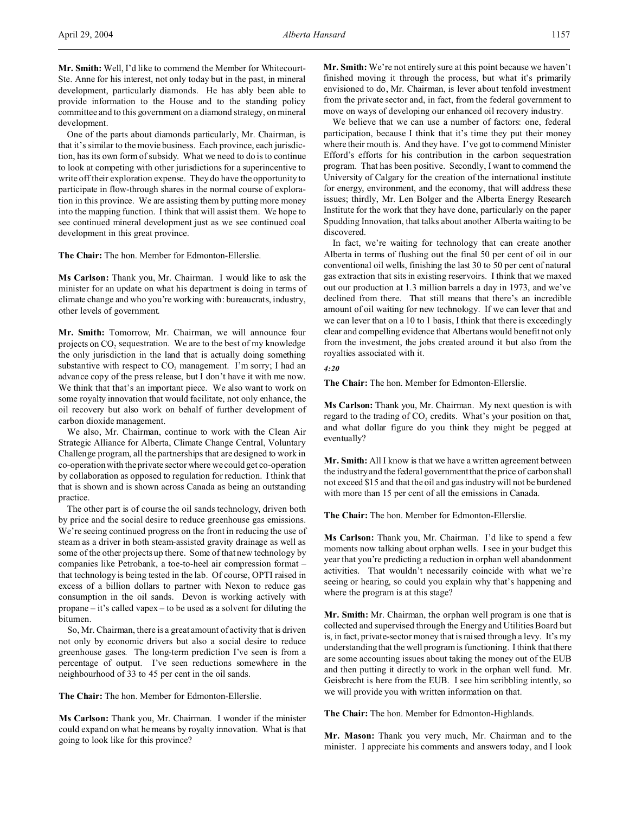**Mr. Smith:** Well, I'd like to commend the Member for Whitecourt-Ste. Anne for his interest, not only today but in the past, in mineral development, particularly diamonds. He has ably been able to provide information to the House and to the standing policy committee and to this government on a diamond strategy, on mineral development.

One of the parts about diamonds particularly, Mr. Chairman, is that it's similar to the movie business. Each province, each jurisdiction, has its own form of subsidy. What we need to do is to continue to look at competing with other jurisdictions for a superincentive to write off their exploration expense. They do have the opportunity to participate in flow-through shares in the normal course of exploration in this province. We are assisting them by putting more money into the mapping function. I think that will assist them. We hope to see continued mineral development just as we see continued coal development in this great province.

**The Chair:** The hon. Member for Edmonton-Ellerslie.

**Ms Carlson:** Thank you, Mr. Chairman. I would like to ask the minister for an update on what his department is doing in terms of climate change and who you're working with: bureaucrats, industry, other levels of government.

**Mr. Smith:** Tomorrow, Mr. Chairman, we will announce four projects on  $CO<sub>2</sub>$  sequestration. We are to the best of my knowledge the only jurisdiction in the land that is actually doing something substantive with respect to  $CO<sub>2</sub>$  management. I'm sorry; I had an advance copy of the press release, but I don't have it with me now. We think that that's an important piece. We also want to work on some royalty innovation that would facilitate, not only enhance, the oil recovery but also work on behalf of further development of carbon dioxide management.

We also, Mr. Chairman, continue to work with the Clean Air Strategic Alliance for Alberta, Climate Change Central, Voluntary Challenge program, all the partnerships that are designed to work in co-operation with the private sector where we could get co-operation by collaboration as opposed to regulation for reduction. I think that that is shown and is shown across Canada as being an outstanding practice.

The other part is of course the oil sands technology, driven both by price and the social desire to reduce greenhouse gas emissions. We're seeing continued progress on the front in reducing the use of steam as a driver in both steam-assisted gravity drainage as well as some of the other projects up there. Some of that new technology by companies like Petrobank, a toe-to-heel air compression format – that technology is being tested in the lab. Of course, OPTI raised in excess of a billion dollars to partner with Nexon to reduce gas consumption in the oil sands. Devon is working actively with propane – it's called vapex – to be used as a solvent for diluting the bitumen.

So, Mr. Chairman, there is a great amount of activity that is driven not only by economic drivers but also a social desire to reduce greenhouse gases. The long-term prediction I've seen is from a percentage of output. I've seen reductions somewhere in the neighbourhood of 33 to 45 per cent in the oil sands.

**The Chair:** The hon. Member for Edmonton-Ellerslie.

**Ms Carlson:** Thank you, Mr. Chairman. I wonder if the minister could expand on what he means by royalty innovation. What is that going to look like for this province?

**Mr. Smith:** We're not entirely sure at this point because we haven't finished moving it through the process, but what it's primarily envisioned to do, Mr. Chairman, is lever about tenfold investment from the private sector and, in fact, from the federal government to move on ways of developing our enhanced oil recovery industry.

We believe that we can use a number of factors: one, federal participation, because I think that it's time they put their money where their mouth is. And they have. I've got to commend Minister Efford's efforts for his contribution in the carbon sequestration program. That has been positive. Secondly, I want to commend the University of Calgary for the creation of the international institute for energy, environment, and the economy, that will address these issues; thirdly, Mr. Len Bolger and the Alberta Energy Research Institute for the work that they have done, particularly on the paper Spudding Innovation, that talks about another Alberta waiting to be discovered.

In fact, we're waiting for technology that can create another Alberta in terms of flushing out the final 50 per cent of oil in our conventional oil wells, finishing the last 30 to 50 per cent of natural gas extraction that sits in existing reservoirs. I think that we maxed out our production at 1.3 million barrels a day in 1973, and we've declined from there. That still means that there's an incredible amount of oil waiting for new technology. If we can lever that and we can lever that on a 10 to 1 basis, I think that there is exceedingly clear and compelling evidence that Albertans would benefit not only from the investment, the jobs created around it but also from the royalties associated with it.

## *4:20*

**The Chair:** The hon. Member for Edmonton-Ellerslie.

**Ms Carlson:** Thank you, Mr. Chairman. My next question is with regard to the trading of  $CO<sub>2</sub>$  credits. What's your position on that, and what dollar figure do you think they might be pegged at eventually?

**Mr. Smith:** All I know is that we have a written agreement between the industry and the federal government that the price of carbon shall not exceed \$15 and that the oil and gas industry will not be burdened with more than 15 per cent of all the emissions in Canada.

**The Chair:** The hon. Member for Edmonton-Ellerslie.

**Ms Carlson:** Thank you, Mr. Chairman. I'd like to spend a few moments now talking about orphan wells. I see in your budget this year that you're predicting a reduction in orphan well abandonment activities. That wouldn't necessarily coincide with what we're seeing or hearing, so could you explain why that's happening and where the program is at this stage?

**Mr. Smith:** Mr. Chairman, the orphan well program is one that is collected and supervised through the Energy and Utilities Board but is, in fact, private-sector money that is raised through a levy. It's my understanding that the well program is functioning. I think that there are some accounting issues about taking the money out of the EUB and then putting it directly to work in the orphan well fund. Mr. Geisbrecht is here from the EUB. I see him scribbling intently, so we will provide you with written information on that.

**The Chair:** The hon. Member for Edmonton-Highlands.

**Mr. Mason:** Thank you very much, Mr. Chairman and to the minister. I appreciate his comments and answers today, and I look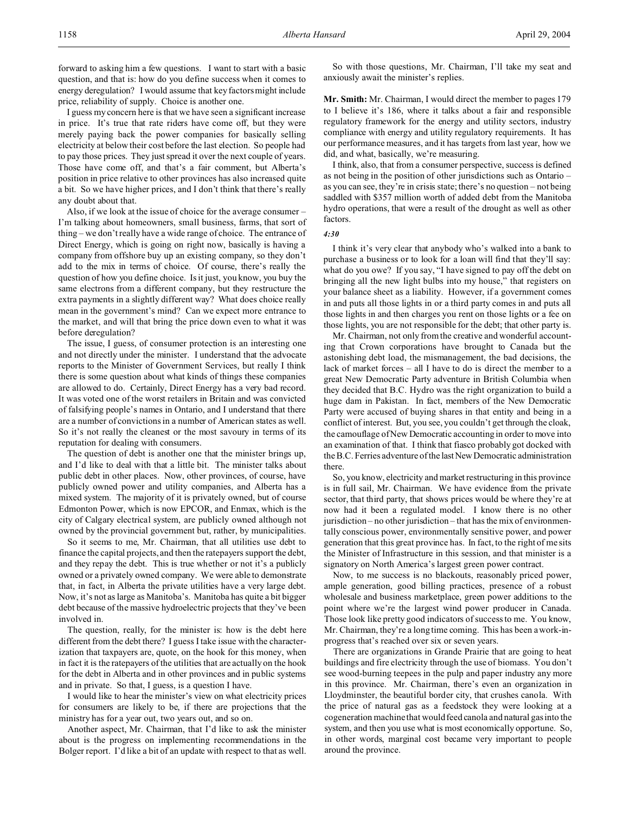forward to asking him a few questions. I want to start with a basic question, and that is: how do you define success when it comes to energy deregulation? I would assume that key factors might include price, reliability of supply. Choice is another one.

I guess my concern here is that we have seen a significant increase in price. It's true that rate riders have come off, but they were merely paying back the power companies for basically selling electricity at below their cost before the last election. So people had to pay those prices. They just spread it over the next couple of years. Those have come off, and that's a fair comment, but Alberta's position in price relative to other provinces has also increased quite a bit. So we have higher prices, and I don't think that there's really any doubt about that.

Also, if we look at the issue of choice for the average consumer – I'm talking about homeowners, small business, farms, that sort of thing – we don't really have a wide range of choice. The entrance of Direct Energy, which is going on right now, basically is having a company from offshore buy up an existing company, so they don't add to the mix in terms of choice. Of course, there's really the question of how you define choice. Is it just, you know, you buy the same electrons from a different company, but they restructure the extra payments in a slightly different way? What does choice really mean in the government's mind? Can we expect more entrance to the market, and will that bring the price down even to what it was before deregulation?

The issue, I guess, of consumer protection is an interesting one and not directly under the minister. I understand that the advocate reports to the Minister of Government Services, but really I think there is some question about what kinds of things these companies are allowed to do. Certainly, Direct Energy has a very bad record. It was voted one of the worst retailers in Britain and was convicted of falsifying people's names in Ontario, and I understand that there are a number of convictions in a number of American states as well. So it's not really the cleanest or the most savoury in terms of its reputation for dealing with consumers.

The question of debt is another one that the minister brings up, and I'd like to deal with that a little bit. The minister talks about public debt in other places. Now, other provinces, of course, have publicly owned power and utility companies, and Alberta has a mixed system. The majority of it is privately owned, but of course Edmonton Power, which is now EPCOR, and Enmax, which is the city of Calgary electrical system, are publicly owned although not owned by the provincial government but, rather, by municipalities.

So it seems to me, Mr. Chairman, that all utilities use debt to finance the capital projects, and then the ratepayers support the debt, and they repay the debt. This is true whether or not it's a publicly owned or a privately owned company. We were able to demonstrate that, in fact, in Alberta the private utilities have a very large debt. Now, it's not as large as Manitoba's. Manitoba has quite a bit bigger debt because of the massive hydroelectric projects that they've been involved in.

The question, really, for the minister is: how is the debt here different from the debt there? I guess I take issue with the characterization that taxpayers are, quote, on the hook for this money, when in fact it is the ratepayers of the utilities that are actually on the hook for the debt in Alberta and in other provinces and in public systems and in private. So that, I guess, is a question I have.

I would like to hear the minister's view on what electricity prices for consumers are likely to be, if there are projections that the ministry has for a year out, two years out, and so on.

Another aspect, Mr. Chairman, that I'd like to ask the minister about is the progress on implementing recommendations in the Bolger report. I'd like a bit of an update with respect to that as well.

So with those questions, Mr. Chairman, I'll take my seat and anxiously await the minister's replies.

**Mr. Smith:** Mr. Chairman, I would direct the member to pages 179 to I believe it's 186, where it talks about a fair and responsible regulatory framework for the energy and utility sectors, industry compliance with energy and utility regulatory requirements. It has our performance measures, and it has targets from last year, how we did, and what, basically, we're measuring.

I think, also, that from a consumer perspective, success is defined as not being in the position of other jurisdictions such as Ontario – as you can see, they're in crisis state; there's no question – not being saddled with \$357 million worth of added debt from the Manitoba hydro operations, that were a result of the drought as well as other factors.

*4:30*

I think it's very clear that anybody who's walked into a bank to purchase a business or to look for a loan will find that they'll say: what do you owe? If you say, "I have signed to pay off the debt on bringing all the new light bulbs into my house," that registers on your balance sheet as a liability. However, if a government comes in and puts all those lights in or a third party comes in and puts all those lights in and then charges you rent on those lights or a fee on those lights, you are not responsible for the debt; that other party is.

Mr. Chairman, not only from the creative and wonderful accounting that Crown corporations have brought to Canada but the astonishing debt load, the mismanagement, the bad decisions, the lack of market forces – all I have to do is direct the member to a great New Democratic Party adventure in British Columbia when they decided that B.C. Hydro was the right organization to build a huge dam in Pakistan. In fact, members of the New Democratic Party were accused of buying shares in that entity and being in a conflict of interest. But, you see, you couldn't get through the cloak, the camouflage of New Democratic accounting in order to move into an examination of that. I think that fiasco probably got docked with the B.C. Ferries adventure of the last New Democratic administration there.

So, you know, electricity and market restructuring in this province is in full sail, Mr. Chairman. We have evidence from the private sector, that third party, that shows prices would be where they're at now had it been a regulated model. I know there is no other jurisdiction – no other jurisdiction – that has the mix of environmentally conscious power, environmentally sensitive power, and power generation that this great province has. In fact, to the right of me sits the Minister of Infrastructure in this session, and that minister is a signatory on North America's largest green power contract.

Now, to me success is no blackouts, reasonably priced power, ample generation, good billing practices, presence of a robust wholesale and business marketplace, green power additions to the point where we're the largest wind power producer in Canada. Those look like pretty good indicators of success to me. You know, Mr. Chairman, they're a long time coming. This has been a work-inprogress that's reached over six or seven years.

There are organizations in Grande Prairie that are going to heat buildings and fire electricity through the use of biomass. You don't see wood-burning teepees in the pulp and paper industry any more in this province. Mr. Chairman, there's even an organization in Lloydminster, the beautiful border city, that crushes canola. With the price of natural gas as a feedstock they were looking at a cogeneration machine that would feed canola and natural gas into the system, and then you use what is most economically opportune. So, in other words, marginal cost became very important to people around the province.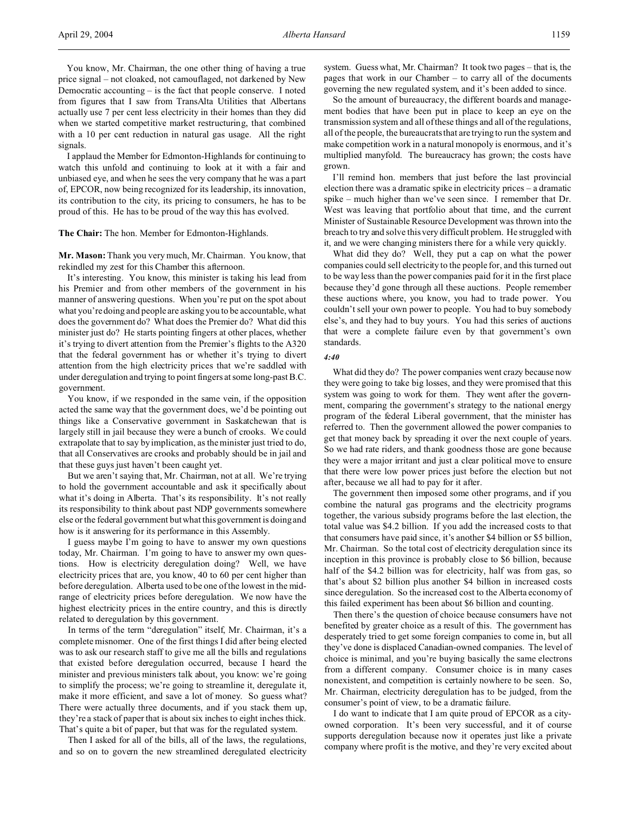You know, Mr. Chairman, the one other thing of having a true price signal – not cloaked, not camouflaged, not darkened by New Democratic accounting – is the fact that people conserve. I noted from figures that I saw from TransAlta Utilities that Albertans actually use 7 per cent less electricity in their homes than they did when we started competitive market restructuring, that combined with a 10 per cent reduction in natural gas usage. All the right signals.

I applaud the Member for Edmonton-Highlands for continuing to watch this unfold and continuing to look at it with a fair and unbiased eye, and when he sees the very company that he was a part of, EPCOR, now being recognized for its leadership, its innovation, its contribution to the city, its pricing to consumers, he has to be proud of this. He has to be proud of the way this has evolved.

**The Chair:** The hon. Member for Edmonton-Highlands.

**Mr. Mason:** Thank you very much, Mr. Chairman. You know, that rekindled my zest for this Chamber this afternoon.

It's interesting. You know, this minister is taking his lead from his Premier and from other members of the government in his manner of answering questions. When you're put on the spot about what you're doing and people are asking you to be accountable, what does the government do? What does the Premier do? What did this minister just do? He starts pointing fingers at other places, whether it's trying to divert attention from the Premier's flights to the A320 that the federal government has or whether it's trying to divert attention from the high electricity prices that we're saddled with under deregulation and trying to point fingers at some long-past B.C. government.

You know, if we responded in the same vein, if the opposition acted the same way that the government does, we'd be pointing out things like a Conservative government in Saskatchewan that is largely still in jail because they were a bunch of crooks. We could extrapolate that to say by implication, as the minister just tried to do, that all Conservatives are crooks and probably should be in jail and that these guys just haven't been caught yet.

But we aren't saying that, Mr. Chairman, not at all. We're trying to hold the government accountable and ask it specifically about what it's doing in Alberta. That's its responsibility. It's not really its responsibility to think about past NDP governments somewhere else or the federal government but what this government is doing and how is it answering for its performance in this Assembly.

I guess maybe I'm going to have to answer my own questions today, Mr. Chairman. I'm going to have to answer my own questions. How is electricity deregulation doing? Well, we have electricity prices that are, you know, 40 to 60 per cent higher than before deregulation. Alberta used to be one of the lowest in the midrange of electricity prices before deregulation. We now have the highest electricity prices in the entire country, and this is directly related to deregulation by this government.

In terms of the term "deregulation" itself, Mr. Chairman, it's a complete misnomer. One of the first things I did after being elected was to ask our research staff to give me all the bills and regulations that existed before deregulation occurred, because I heard the minister and previous ministers talk about, you know: we're going to simplify the process; we're going to streamline it, deregulate it, make it more efficient, and save a lot of money. So guess what? There were actually three documents, and if you stack them up, they're a stack of paper that is about six inches to eight inches thick. That's quite a bit of paper, but that was for the regulated system.

Then I asked for all of the bills, all of the laws, the regulations, and so on to govern the new streamlined deregulated electricity

system. Guess what, Mr. Chairman? It took two pages – that is, the pages that work in our Chamber – to carry all of the documents governing the new regulated system, and it's been added to since.

So the amount of bureaucracy, the different boards and management bodies that have been put in place to keep an eye on the transmission system and all of these things and all of the regulations, all of the people, the bureaucrats that are trying to run the system and make competition work in a natural monopoly is enormous, and it's multiplied manyfold. The bureaucracy has grown; the costs have grown.

I'll remind hon. members that just before the last provincial election there was a dramatic spike in electricity prices – a dramatic spike – much higher than we've seen since. I remember that Dr. West was leaving that portfolio about that time, and the current Minister of Sustainable Resource Development was thrown into the breach to try and solve this very difficult problem. He struggled with it, and we were changing ministers there for a while very quickly.

What did they do? Well, they put a cap on what the power companies could sell electricity to the people for, and this turned out to be way less than the power companies paid for it in the first place because they'd gone through all these auctions. People remember these auctions where, you know, you had to trade power. You couldn't sell your own power to people. You had to buy somebody else's, and they had to buy yours. You had this series of auctions that were a complete failure even by that government's own standards.

#### *4:40*

What did they do? The power companies went crazy because now they were going to take big losses, and they were promised that this system was going to work for them. They went after the government, comparing the government's strategy to the national energy program of the federal Liberal government, that the minister has referred to. Then the government allowed the power companies to get that money back by spreading it over the next couple of years. So we had rate riders, and thank goodness those are gone because they were a major irritant and just a clear political move to ensure that there were low power prices just before the election but not after, because we all had to pay for it after.

The government then imposed some other programs, and if you combine the natural gas programs and the electricity programs together, the various subsidy programs before the last election, the total value was \$4.2 billion. If you add the increased costs to that that consumers have paid since, it's another \$4 billion or \$5 billion, Mr. Chairman. So the total cost of electricity deregulation since its inception in this province is probably close to \$6 billion, because half of the \$4.2 billion was for electricity, half was from gas, so that's about \$2 billion plus another \$4 billion in increased costs since deregulation. So the increased cost to the Alberta economy of this failed experiment has been about \$6 billion and counting.

Then there's the question of choice because consumers have not benefited by greater choice as a result of this. The government has desperately tried to get some foreign companies to come in, but all they've done is displaced Canadian-owned companies. The level of choice is minimal, and you're buying basically the same electrons from a different company. Consumer choice is in many cases nonexistent, and competition is certainly nowhere to be seen. So, Mr. Chairman, electricity deregulation has to be judged, from the consumer's point of view, to be a dramatic failure.

I do want to indicate that I am quite proud of EPCOR as a cityowned corporation. It's been very successful, and it of course supports deregulation because now it operates just like a private company where profit is the motive, and they're very excited about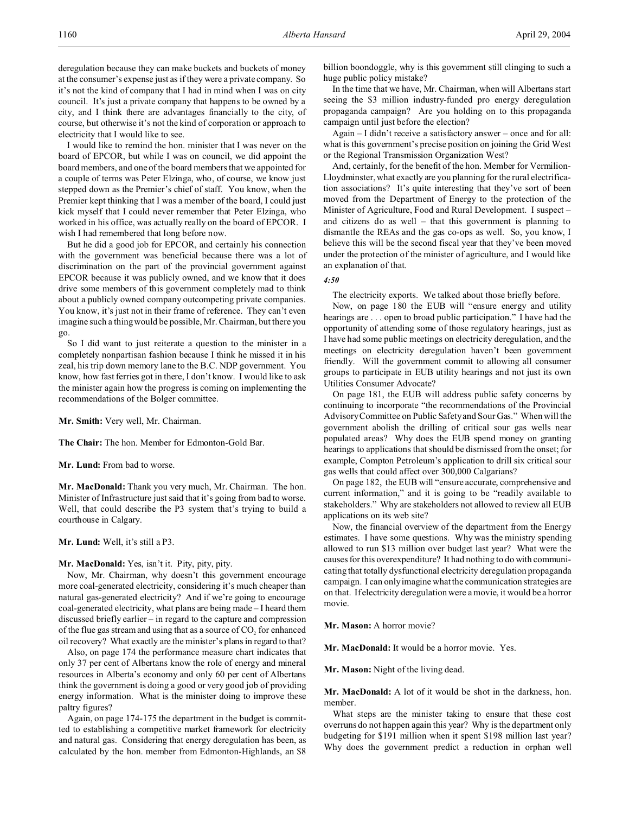deregulation because they can make buckets and buckets of money at the consumer's expense just as if they were a private company. So it's not the kind of company that I had in mind when I was on city council. It's just a private company that happens to be owned by a city, and I think there are advantages financially to the city, of course, but otherwise it's not the kind of corporation or approach to electricity that I would like to see.

I would like to remind the hon. minister that I was never on the board of EPCOR, but while I was on council, we did appoint the board members, and one of the board members that we appointed for a couple of terms was Peter Elzinga, who, of course, we know just stepped down as the Premier's chief of staff. You know, when the Premier kept thinking that I was a member of the board, I could just kick myself that I could never remember that Peter Elzinga, who worked in his office, was actually really on the board of EPCOR. I wish I had remembered that long before now.

But he did a good job for EPCOR, and certainly his connection with the government was beneficial because there was a lot of discrimination on the part of the provincial government against EPCOR because it was publicly owned, and we know that it does drive some members of this government completely mad to think about a publicly owned company outcompeting private companies. You know, it's just not in their frame of reference. They can't even imagine such a thing would be possible, Mr. Chairman, but there you go.

So I did want to just reiterate a question to the minister in a completely nonpartisan fashion because I think he missed it in his zeal, his trip down memory lane to the B.C. NDP government. You know, how fast ferries got in there, I don't know. I would like to ask the minister again how the progress is coming on implementing the recommendations of the Bolger committee.

**Mr. Smith:** Very well, Mr. Chairman.

**The Chair:** The hon. Member for Edmonton-Gold Bar.

**Mr. Lund:** From bad to worse.

**Mr. MacDonald:** Thank you very much, Mr. Chairman. The hon. Minister of Infrastructure just said that it's going from bad to worse. Well, that could describe the P3 system that's trying to build a courthouse in Calgary.

**Mr. Lund:** Well, it's still a P3.

**Mr. MacDonald:** Yes, isn't it. Pity, pity, pity.

Now, Mr. Chairman, why doesn't this government encourage more coal-generated electricity, considering it's much cheaper than natural gas-generated electricity? And if we're going to encourage coal-generated electricity, what plans are being made – I heard them discussed briefly earlier – in regard to the capture and compression of the flue gas stream and using that as a source of  $CO<sub>2</sub>$  for enhanced oil recovery? What exactly are the minister's plans in regard to that?

Also, on page 174 the performance measure chart indicates that only 37 per cent of Albertans know the role of energy and mineral resources in Alberta's economy and only 60 per cent of Albertans think the government is doing a good or very good job of providing energy information. What is the minister doing to improve these paltry figures?

Again, on page 174-175 the department in the budget is committed to establishing a competitive market framework for electricity and natural gas. Considering that energy deregulation has been, as calculated by the hon. member from Edmonton-Highlands, an \$8 billion boondoggle, why is this government still clinging to such a huge public policy mistake?

In the time that we have, Mr. Chairman, when will Albertans start seeing the \$3 million industry-funded pro energy deregulation propaganda campaign? Are you holding on to this propaganda campaign until just before the election?

Again – I didn't receive a satisfactory answer – once and for all: what is this government's precise position on joining the Grid West or the Regional Transmission Organization West?

And, certainly, for the benefit of the hon. Member for Vermilion-Lloydminster, what exactly are you planning for the rural electrification associations? It's quite interesting that they've sort of been moved from the Department of Energy to the protection of the Minister of Agriculture, Food and Rural Development. I suspect – and citizens do as well – that this government is planning to dismantle the REAs and the gas co-ops as well. So, you know, I believe this will be the second fiscal year that they've been moved under the protection of the minister of agriculture, and I would like an explanation of that.

## *4:50*

The electricity exports. We talked about those briefly before.

Now, on page 180 the EUB will "ensure energy and utility hearings are . . . open to broad public participation." I have had the opportunity of attending some of those regulatory hearings, just as I have had some public meetings on electricity deregulation, and the meetings on electricity deregulation haven't been government friendly. Will the government commit to allowing all consumer groups to participate in EUB utility hearings and not just its own Utilities Consumer Advocate?

On page 181, the EUB will address public safety concerns by continuing to incorporate "the recommendations of the Provincial Advisory Committee on Public Safety and Sour Gas." When will the government abolish the drilling of critical sour gas wells near populated areas? Why does the EUB spend money on granting hearings to applications that should be dismissed from the onset; for example, Compton Petroleum's application to drill six critical sour gas wells that could affect over 300,000 Calgarians?

On page 182, the EUB will "ensure accurate, comprehensive and current information," and it is going to be "readily available to stakeholders." Why are stakeholders not allowed to review all EUB applications on its web site?

Now, the financial overview of the department from the Energy estimates. I have some questions. Why was the ministry spending allowed to run \$13 million over budget last year? What were the causes for this overexpenditure? It had nothing to do with communicating that totally dysfunctional electricity deregulation propaganda campaign. I can only imagine what the communication strategies are on that. If electricity deregulation were a movie, it would be a horror movie.

**Mr. Mason:** A horror movie?

**Mr. MacDonald:** It would be a horror movie. Yes.

**Mr. Mason:** Night of the living dead.

**Mr. MacDonald:** A lot of it would be shot in the darkness, hon. member.

What steps are the minister taking to ensure that these cost overruns do not happen again this year? Why is the department only budgeting for \$191 million when it spent \$198 million last year? Why does the government predict a reduction in orphan well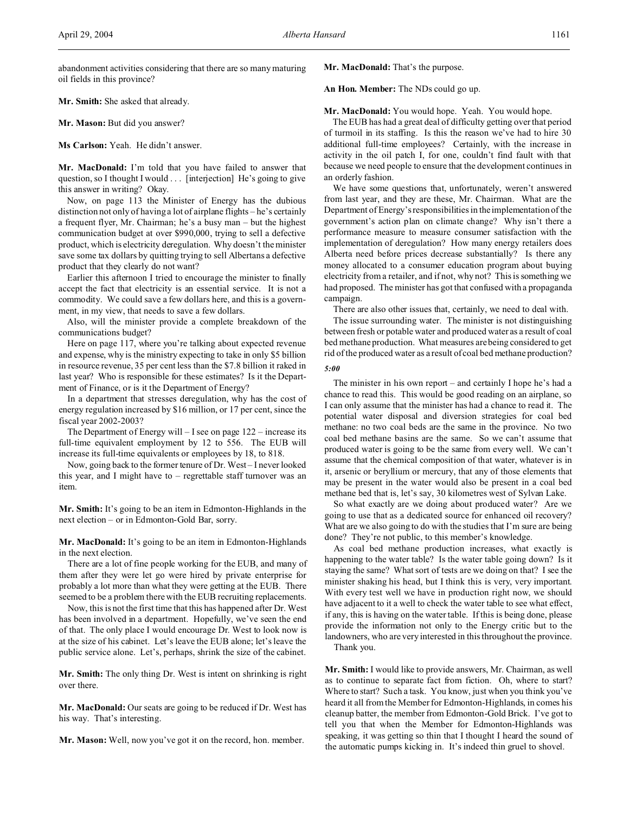abandonment activities considering that there are so many maturing oil fields in this province?

**Mr. Smith:** She asked that already.

**Mr. Mason:** But did you answer?

**Ms Carlson:** Yeah. He didn't answer.

**Mr. MacDonald:** I'm told that you have failed to answer that question, so I thought I would . . . [interjection] He's going to give this answer in writing? Okay.

Now, on page 113 the Minister of Energy has the dubious distinction not only of having a lot of airplane flights – he's certainly a frequent flyer, Mr. Chairman; he's a busy man – but the highest communication budget at over \$990,000, trying to sell a defective product, which is electricity deregulation. Why doesn't the minister save some tax dollars by quitting trying to sell Albertans a defective product that they clearly do not want?

Earlier this afternoon I tried to encourage the minister to finally accept the fact that electricity is an essential service. It is not a commodity. We could save a few dollars here, and this is a government, in my view, that needs to save a few dollars.

Also, will the minister provide a complete breakdown of the communications budget?

Here on page 117, where you're talking about expected revenue and expense, why is the ministry expecting to take in only \$5 billion in resource revenue, 35 per cent less than the \$7.8 billion it raked in last year? Who is responsible for these estimates? Is it the Department of Finance, or is it the Department of Energy?

In a department that stresses deregulation, why has the cost of energy regulation increased by \$16 million, or 17 per cent, since the fiscal year 2002-2003?

The Department of Energy will – I see on page 122 – increase its full-time equivalent employment by 12 to 556. The EUB will increase its full-time equivalents or employees by 18, to 818.

Now, going back to the former tenure of Dr. West – I never looked this year, and I might have to – regrettable staff turnover was an item.

**Mr. Smith:** It's going to be an item in Edmonton-Highlands in the next election – or in Edmonton-Gold Bar, sorry.

**Mr. MacDonald:** It's going to be an item in Edmonton-Highlands in the next election.

There are a lot of fine people working for the EUB, and many of them after they were let go were hired by private enterprise for probably a lot more than what they were getting at the EUB. There seemed to be a problem there with the EUB recruiting replacements.

Now, this is not the first time that this has happened after Dr. West has been involved in a department. Hopefully, we've seen the end of that. The only place I would encourage Dr. West to look now is at the size of his cabinet. Let's leave the EUB alone; let's leave the public service alone. Let's, perhaps, shrink the size of the cabinet.

**Mr. Smith:** The only thing Dr. West is intent on shrinking is right over there.

**Mr. MacDonald:** Our seats are going to be reduced if Dr. West has his way. That's interesting.

**Mr. Mason:** Well, now you've got it on the record, hon. member.

**Mr. MacDonald:** That's the purpose.

**An Hon. Member:** The NDs could go up.

**Mr. MacDonald:** You would hope. Yeah. You would hope.

The EUB has had a great deal of difficulty getting over that period of turmoil in its staffing. Is this the reason we've had to hire 30 additional full-time employees? Certainly, with the increase in activity in the oil patch I, for one, couldn't find fault with that because we need people to ensure that the development continues in an orderly fashion.

We have some questions that, unfortunately, weren't answered from last year, and they are these, Mr. Chairman. What are the Department of Energy's responsibilities in the implementation of the government's action plan on climate change? Why isn't there a performance measure to measure consumer satisfaction with the implementation of deregulation? How many energy retailers does Alberta need before prices decrease substantially? Is there any money allocated to a consumer education program about buying electricity from a retailer, and if not, why not? This is something we had proposed. The minister has got that confused with a propaganda campaign.

There are also other issues that, certainly, we need to deal with.

The issue surrounding water. The minister is not distinguishing between fresh or potable water and produced water as a result of coal bed methane production. What measures are being considered to get rid of the produced water as a result of coal bed methane production?

*5:00*

The minister in his own report – and certainly I hope he's had a chance to read this. This would be good reading on an airplane, so I can only assume that the minister has had a chance to read it. The potential water disposal and diversion strategies for coal bed methane: no two coal beds are the same in the province. No two coal bed methane basins are the same. So we can't assume that produced water is going to be the same from every well. We can't assume that the chemical composition of that water, whatever is in it, arsenic or beryllium or mercury, that any of those elements that may be present in the water would also be present in a coal bed methane bed that is, let's say, 30 kilometres west of Sylvan Lake.

So what exactly are we doing about produced water? Are we going to use that as a dedicated source for enhanced oil recovery? What are we also going to do with the studies that I'm sure are being done? They're not public, to this member's knowledge.

As coal bed methane production increases, what exactly is happening to the water table? Is the water table going down? Is it staying the same? What sort of tests are we doing on that? I see the minister shaking his head, but I think this is very, very important. With every test well we have in production right now, we should have adjacent to it a well to check the water table to see what effect, if any, this is having on the water table. If this is being done, please provide the information not only to the Energy critic but to the landowners, who are very interested in this throughout the province.

Thank you.

**Mr. Smith:** I would like to provide answers, Mr. Chairman, as well as to continue to separate fact from fiction. Oh, where to start? Where to start? Such a task. You know, just when you think you've heard it all from the Member for Edmonton-Highlands, in comes his cleanup batter, the member from Edmonton-Gold Brick. I've got to tell you that when the Member for Edmonton-Highlands was speaking, it was getting so thin that I thought I heard the sound of the automatic pumps kicking in. It's indeed thin gruel to shovel.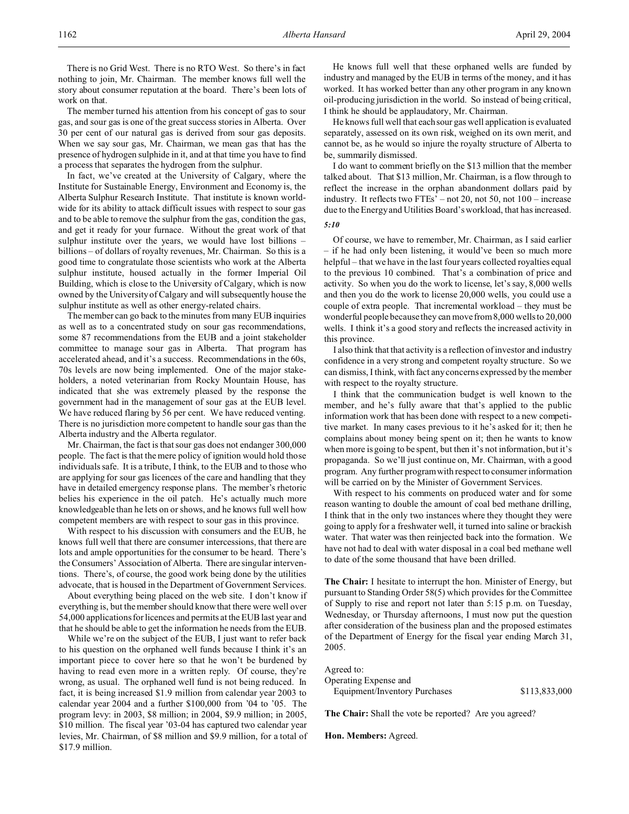The member turned his attention from his concept of gas to sour gas, and sour gas is one of the great success stories in Alberta. Over 30 per cent of our natural gas is derived from sour gas deposits. When we say sour gas, Mr. Chairman, we mean gas that has the presence of hydrogen sulphide in it, and at that time you have to find a process that separates the hydrogen from the sulphur.

In fact, we've created at the University of Calgary, where the Institute for Sustainable Energy, Environment and Economy is, the Alberta Sulphur Research Institute. That institute is known worldwide for its ability to attack difficult issues with respect to sour gas and to be able to remove the sulphur from the gas, condition the gas, and get it ready for your furnace. Without the great work of that sulphur institute over the years, we would have lost billions – billions – of dollars of royalty revenues, Mr. Chairman. So this is a good time to congratulate those scientists who work at the Alberta sulphur institute, housed actually in the former Imperial Oil Building, which is close to the University of Calgary, which is now owned by the University of Calgary and will subsequently house the sulphur institute as well as other energy-related chairs.

The member can go back to the minutes from many EUB inquiries as well as to a concentrated study on sour gas recommendations, some 87 recommendations from the EUB and a joint stakeholder committee to manage sour gas in Alberta. That program has accelerated ahead, and it's a success. Recommendations in the 60s, 70s levels are now being implemented. One of the major stakeholders, a noted veterinarian from Rocky Mountain House, has indicated that she was extremely pleased by the response the government had in the management of sour gas at the EUB level. We have reduced flaring by 56 per cent. We have reduced venting. There is no jurisdiction more competent to handle sour gas than the Alberta industry and the Alberta regulator.

Mr. Chairman, the fact is that sour gas does not endanger 300,000 people. The fact is that the mere policy of ignition would hold those individuals safe. It is a tribute, I think, to the EUB and to those who are applying for sour gas licences of the care and handling that they have in detailed emergency response plans. The member's rhetoric belies his experience in the oil patch. He's actually much more knowledgeable than he lets on or shows, and he knows full well how competent members are with respect to sour gas in this province.

With respect to his discussion with consumers and the EUB, he knows full well that there are consumer intercessions, that there are lots and ample opportunities for the consumer to be heard. There's the Consumers' Association of Alberta. There are singular interventions. There's, of course, the good work being done by the utilities advocate, that is housed in the Department of Government Services.

About everything being placed on the web site. I don't know if everything is, but the member should know that there were well over 54,000 applications for licences and permits at the EUB last year and that he should be able to get the information he needs from the EUB.

While we're on the subject of the EUB, I just want to refer back to his question on the orphaned well funds because I think it's an important piece to cover here so that he won't be burdened by having to read even more in a written reply. Of course, they're wrong, as usual. The orphaned well fund is not being reduced. In fact, it is being increased \$1.9 million from calendar year 2003 to calendar year 2004 and a further \$100,000 from '04 to '05. The program levy: in 2003, \$8 million; in 2004, \$9.9 million; in 2005, \$10 million. The fiscal year '03-04 has captured two calendar year levies, Mr. Chairman, of \$8 million and \$9.9 million, for a total of \$17.9 million.

He knows full well that these orphaned wells are funded by industry and managed by the EUB in terms of the money, and it has worked. It has worked better than any other program in any known oil-producing jurisdiction in the world. So instead of being critical, I think he should be applaudatory, Mr. Chairman.

He knows full well that each sour gas well application is evaluated separately, assessed on its own risk, weighed on its own merit, and cannot be, as he would so injure the royalty structure of Alberta to be, summarily dismissed.

I do want to comment briefly on the \$13 million that the member talked about. That \$13 million, Mr. Chairman, is a flow through to reflect the increase in the orphan abandonment dollars paid by industry. It reflects two FTEs' – not 20, not 50, not 100 – increase due to the Energy and Utilities Board's workload, that has increased.

# *5:10*

Of course, we have to remember, Mr. Chairman, as I said earlier – if he had only been listening, it would've been so much more helpful – that we have in the last four years collected royalties equal to the previous 10 combined. That's a combination of price and activity. So when you do the work to license, let's say, 8,000 wells and then you do the work to license 20,000 wells, you could use a couple of extra people. That incremental workload – they must be wonderful people because they can move from 8,000 wells to 20,000 wells. I think it's a good story and reflects the increased activity in this province.

I also think that that activity is a reflection of investor and industry confidence in a very strong and competent royalty structure. So we can dismiss, I think, with fact any concerns expressed by the member with respect to the royalty structure.

I think that the communication budget is well known to the member, and he's fully aware that that's applied to the public information work that has been done with respect to a new competitive market. In many cases previous to it he's asked for it; then he complains about money being spent on it; then he wants to know when more is going to be spent, but then it's not information, but it's propaganda. So we'll just continue on, Mr. Chairman, with a good program. Any further program with respect to consumer information will be carried on by the Minister of Government Services.

With respect to his comments on produced water and for some reason wanting to double the amount of coal bed methane drilling, I think that in the only two instances where they thought they were going to apply for a freshwater well, it turned into saline or brackish water. That water was then reinjected back into the formation. We have not had to deal with water disposal in a coal bed methane well to date of the some thousand that have been drilled.

**The Chair:** I hesitate to interrupt the hon. Minister of Energy, but pursuant to Standing Order 58(5) which provides for the Committee of Supply to rise and report not later than 5:15 p.m. on Tuesday, Wednesday, or Thursday afternoons, I must now put the question after consideration of the business plan and the proposed estimates of the Department of Energy for the fiscal year ending March 31, 2005.

## Agreed to:

Operating Expense and Equipment/Inventory Purchases  $$113,833,000$ 

**The Chair:** Shall the vote be reported? Are you agreed?

## **Hon. Members:** Agreed.